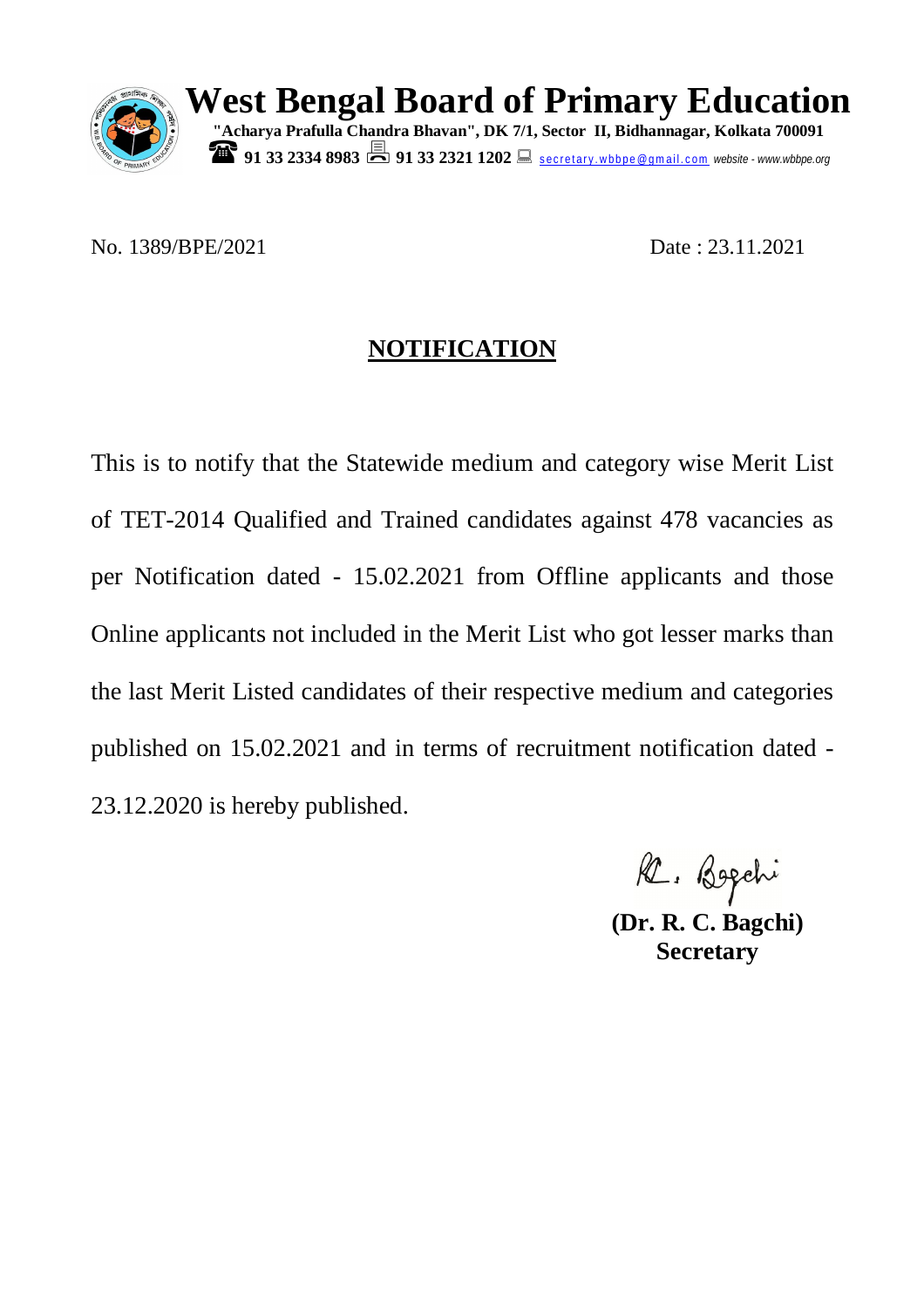

**West Bengal Board of Primary Education "Acharya Prafulla Chandra Bhavan", DK 7/1, Sector II, Bidhannagar, Kolkata 700091 91 33 2334 8983 91 33 2321 1202** Secretary wbbpe@gmail.com website - www.wbbpe.org

No. 1389/BPE/2021 Date: 23.11.2021

## **NOTIFICATION**

R. Bogchi

**(Dr. R. C. Bagchi) Secretary**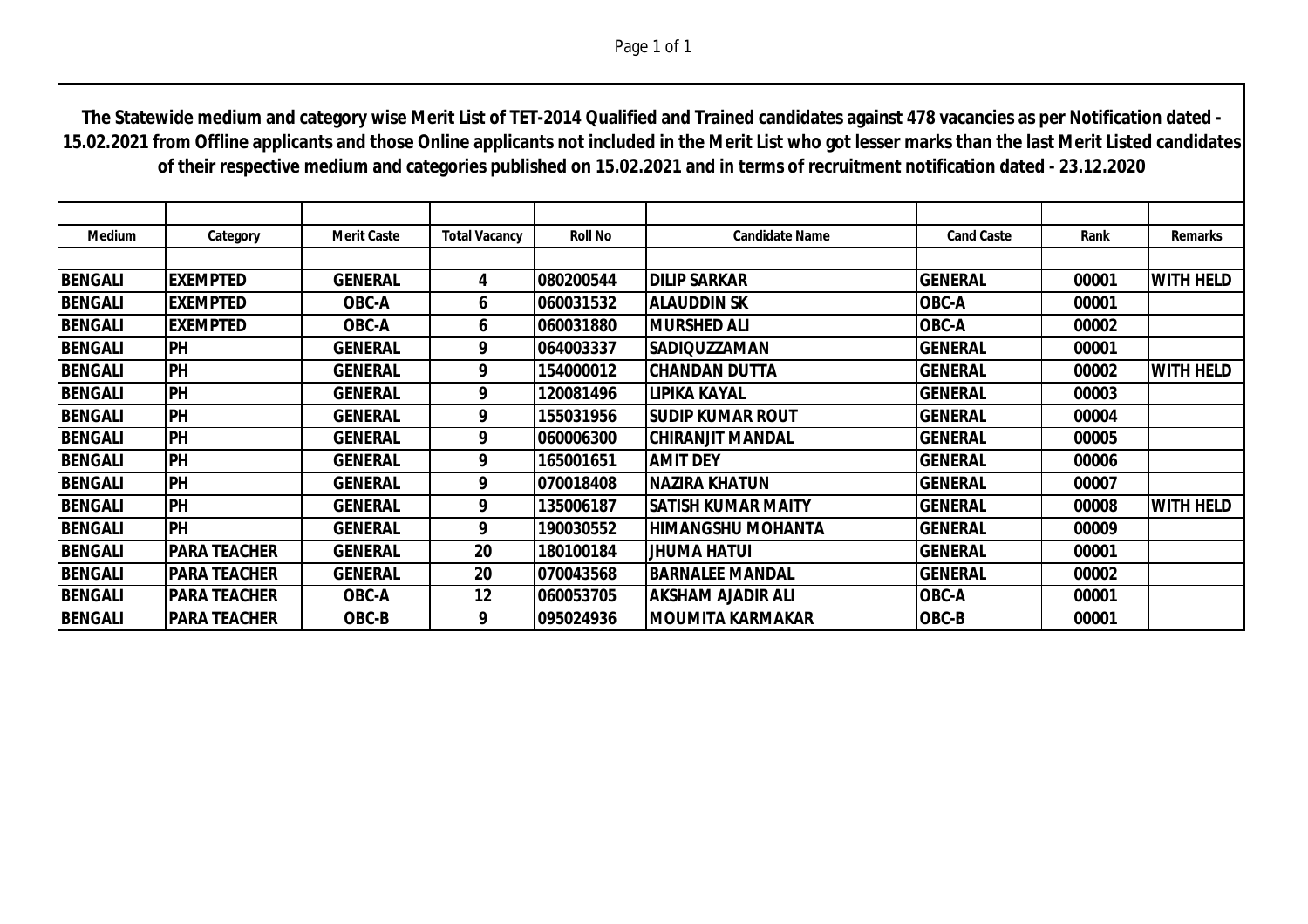**Medium Category Merit Caste Total Vacancy Roll No Candidate Name Cand Caste Rank Remarks BENGALI EXEMPTED GENERAL 4 080200544 DILIP SARKAR GENERAL 00001 WITH HELD BENGALI EXEMPTED OBC-A 6 060031532 ALAUDDIN SK OBC-A 00001 BENGALI EXEMPTED OBC-A 6 060031880 MURSHED ALI OBC-A 00002 BENGALI PH GENERAL 9 064003337 SADIQUZZAMAN GENERAL 00001 BENGALI PH GENERAL 9 154000012 CHANDAN DUTTA GENERAL 00002 WITH HELD BENGALI PH GENERAL 9 120081496 LIPIKA KAYAL GENERAL 00003 BENGALI PH GENERAL 9 155031956 SUDIP KUMAR ROUT GENERAL 00004 BENGALI PH GENERAL 9 060006300 CHIRANJIT MANDAL GENERAL 00005 BENGALI PH GENERAL 9 165001651 AMIT DEY GENERAL 00006 BENGALI PH GENERAL 9 070018408 NAZIRA KHATUN GENERAL 00007 BENGALI PH GENERAL 9 135006187 SATISH KUMAR MAITY GENERAL 00008 WITH HELD The Statewide medium and category wise Merit List of TET-2014 Qualified and Trained candidates against 478 vacancies as per Notification dated - 15.02.2021 from Offline applicants and those Online applicants not included in the Merit List who got lesser marks than the last Merit Listed candidates of their respective medium and categories published on 15.02.2021 and in terms of recruitment notification dated - 23.12.2020**

**BENGALI PH GENERAL 9 190030552 HIMANGSHU MOHANTA GENERAL 00009** 

**BENGALI PARA TEACHER GENERAL 20 180100184 JHUMA HATUI GENERAL 00001 BENGALI PARA TEACHER GENERAL 20 070043568 BARNALEE MANDAL GENERAL 00002 BENGALI PARA TEACHER OBC-A 12 060053705 AKSHAM AJADIR ALI OBC-A 00001 BENGALI PARA TEACHER OBC-B 9 095024936 MOUMITA KARMAKAR OBC-B 00001**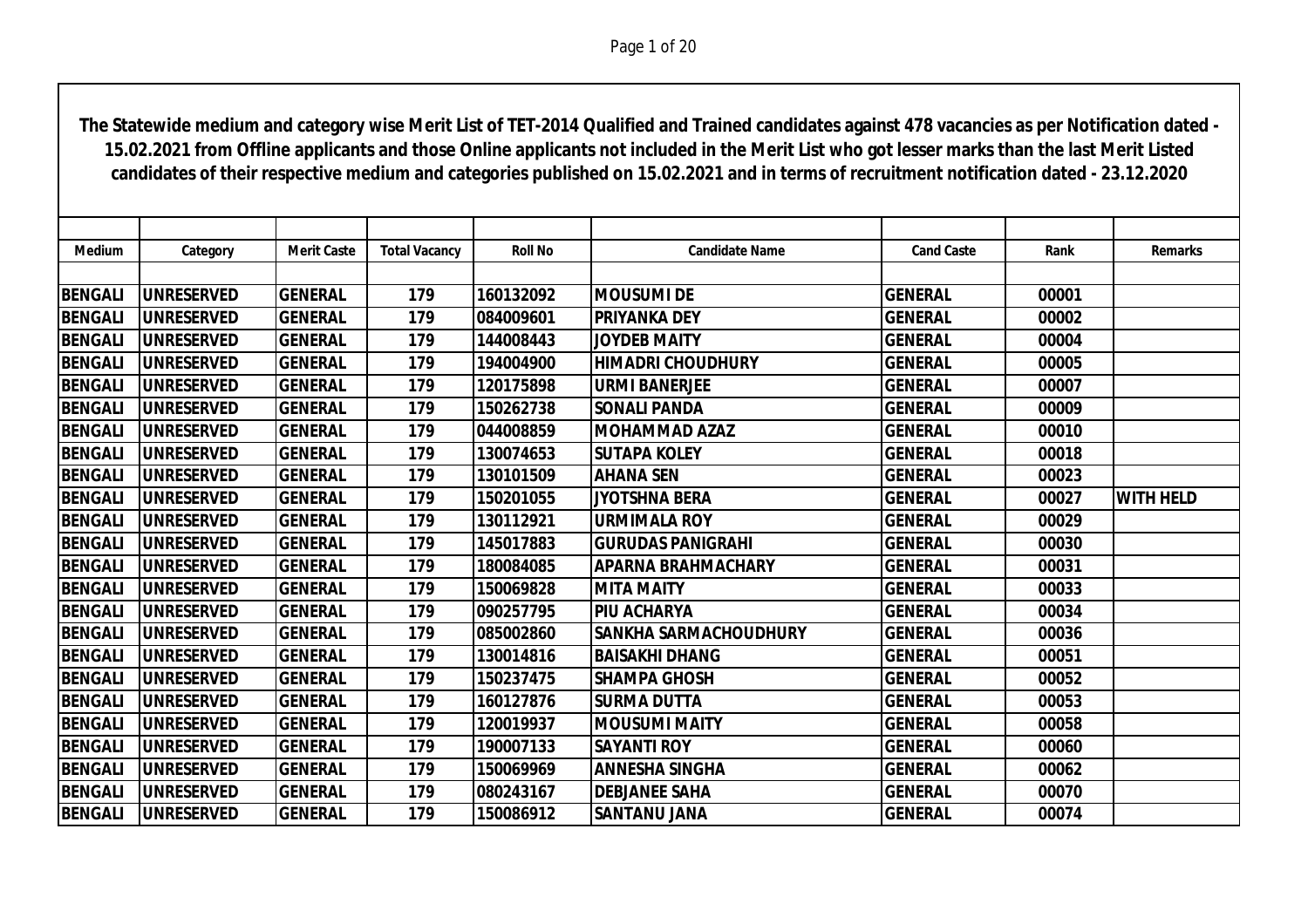| <b>Medium</b>  | Category          | <b>Merit Caste</b> | <b>Total Vacancy</b> | <b>Roll No</b> | <b>Candidate Name</b>        | <b>Cand Caste</b> | Rank  | <b>Remarks</b>   |
|----------------|-------------------|--------------------|----------------------|----------------|------------------------------|-------------------|-------|------------------|
|                |                   |                    |                      |                |                              |                   |       |                  |
| <b>BENGALI</b> | <b>UNRESERVED</b> | <b>GENERAL</b>     | 179                  | 160132092      | <b>MOUSUMI DE</b>            | <b>GENERAL</b>    | 00001 |                  |
| <b>BENGALI</b> | <b>UNRESERVED</b> | <b>GENERAL</b>     | 179                  | 084009601      | <b>PRIYANKA DEY</b>          | <b>GENERAL</b>    | 00002 |                  |
| <b>BENGALI</b> | <b>UNRESERVED</b> | <b>GENERAL</b>     | 179                  | 144008443      | <b>JOYDEB MAITY</b>          | <b>GENERAL</b>    | 00004 |                  |
| <b>BENGALI</b> | <b>UNRESERVED</b> | <b>GENERAL</b>     | 179                  | 194004900      | <b>HIMADRI CHOUDHURY</b>     | <b>GENERAL</b>    | 00005 |                  |
| <b>BENGALI</b> | <b>UNRESERVED</b> | <b>GENERAL</b>     | 179                  | 120175898      | <b>URMI BANERJEE</b>         | <b>GENERAL</b>    | 00007 |                  |
| <b>BENGALI</b> | <b>UNRESERVED</b> | <b>GENERAL</b>     | 179                  | 150262738      | <b>SONALI PANDA</b>          | <b>GENERAL</b>    | 00009 |                  |
| <b>BENGALI</b> | <b>UNRESERVED</b> | <b>GENERAL</b>     | 179                  | 044008859      | IMOHAMMAD AZAZ               | <b>GENERAL</b>    | 00010 |                  |
| <b>BENGALI</b> | <b>UNRESERVED</b> | <b>GENERAL</b>     | 179                  | 130074653      | <b>SUTAPA KOLEY</b>          | <b>GENERAL</b>    | 00018 |                  |
| <b>BENGALI</b> | <b>UNRESERVED</b> | <b>GENERAL</b>     | 179                  | 130101509      | <b>AHANA SEN</b>             | <b>GENERAL</b>    | 00023 |                  |
| <b>BENGALI</b> | <b>UNRESERVED</b> | <b>GENERAL</b>     | 179                  | 150201055      | <b>JYOTSHNA BERA</b>         | <b>GENERAL</b>    | 00027 | <b>WITH HELD</b> |
| <b>BENGALI</b> | <b>UNRESERVED</b> | <b>GENERAL</b>     | 179                  | 130112921      | <b>URMIMALA ROY</b>          | <b>GENERAL</b>    | 00029 |                  |
| <b>BENGALI</b> | <b>UNRESERVED</b> | <b>GENERAL</b>     | 179                  | 145017883      | <b>GURUDAS PANIGRAHI</b>     | <b>GENERAL</b>    | 00030 |                  |
| <b>BENGALI</b> | <b>UNRESERVED</b> | <b>GENERAL</b>     | 179                  | 180084085      | <b>APARNA BRAHMACHARY</b>    | <b>GENERAL</b>    | 00031 |                  |
| <b>BENGALI</b> | <b>UNRESERVED</b> | <b>GENERAL</b>     | 179                  | 150069828      | <b>MITA MAITY</b>            | <b>GENERAL</b>    | 00033 |                  |
| <b>BENGALI</b> | <b>UNRESERVED</b> | <b>GENERAL</b>     | 179                  | 090257795      | <b>PIU ACHARYA</b>           | <b>GENERAL</b>    | 00034 |                  |
| <b>BENGALI</b> | <b>UNRESERVED</b> | <b>GENERAL</b>     | 179                  | 085002860      | <b>SANKHA SARMACHOUDHURY</b> | <b>GENERAL</b>    | 00036 |                  |
| <b>BENGALI</b> | <b>UNRESERVED</b> | <b>GENERAL</b>     | 179                  | 130014816      | <b>BAISAKHI DHANG</b>        | <b>GENERAL</b>    | 00051 |                  |
| <b>BENGALI</b> | <b>UNRESERVED</b> | <b>GENERAL</b>     | 179                  | 150237475      | <b>SHAMPA GHOSH</b>          | <b>GENERAL</b>    | 00052 |                  |
| <b>BENGALI</b> | <b>UNRESERVED</b> | <b>GENERAL</b>     | 179                  | 160127876      | <b>SURMA DUTTA</b>           | <b>GENERAL</b>    | 00053 |                  |
| <b>BENGALI</b> | <b>UNRESERVED</b> | <b>GENERAL</b>     | 179                  | 120019937      | <b>IMOUSUMI MAITY</b>        | <b>GENERAL</b>    | 00058 |                  |
| <b>BENGALI</b> | <b>UNRESERVED</b> | <b>GENERAL</b>     | 179                  | 190007133      | <b>SAYANTI ROY</b>           | <b>GENERAL</b>    | 00060 |                  |
| <b>BENGALI</b> | <b>UNRESERVED</b> | <b>GENERAL</b>     | 179                  | 150069969      | <b>ANNESHA SINGHA</b>        | <b>GENERAL</b>    | 00062 |                  |
| <b>BENGALI</b> | <b>UNRESERVED</b> | <b>GENERAL</b>     | 179                  | 080243167      | <b>DEBJANEE SAHA</b>         | <b>GENERAL</b>    | 00070 |                  |
| <b>BENGALI</b> | <b>UNRESERVED</b> | <b>GENERAL</b>     | 179                  | 150086912      | <b>SANTANU JANA</b>          | <b>GENERAL</b>    | 00074 |                  |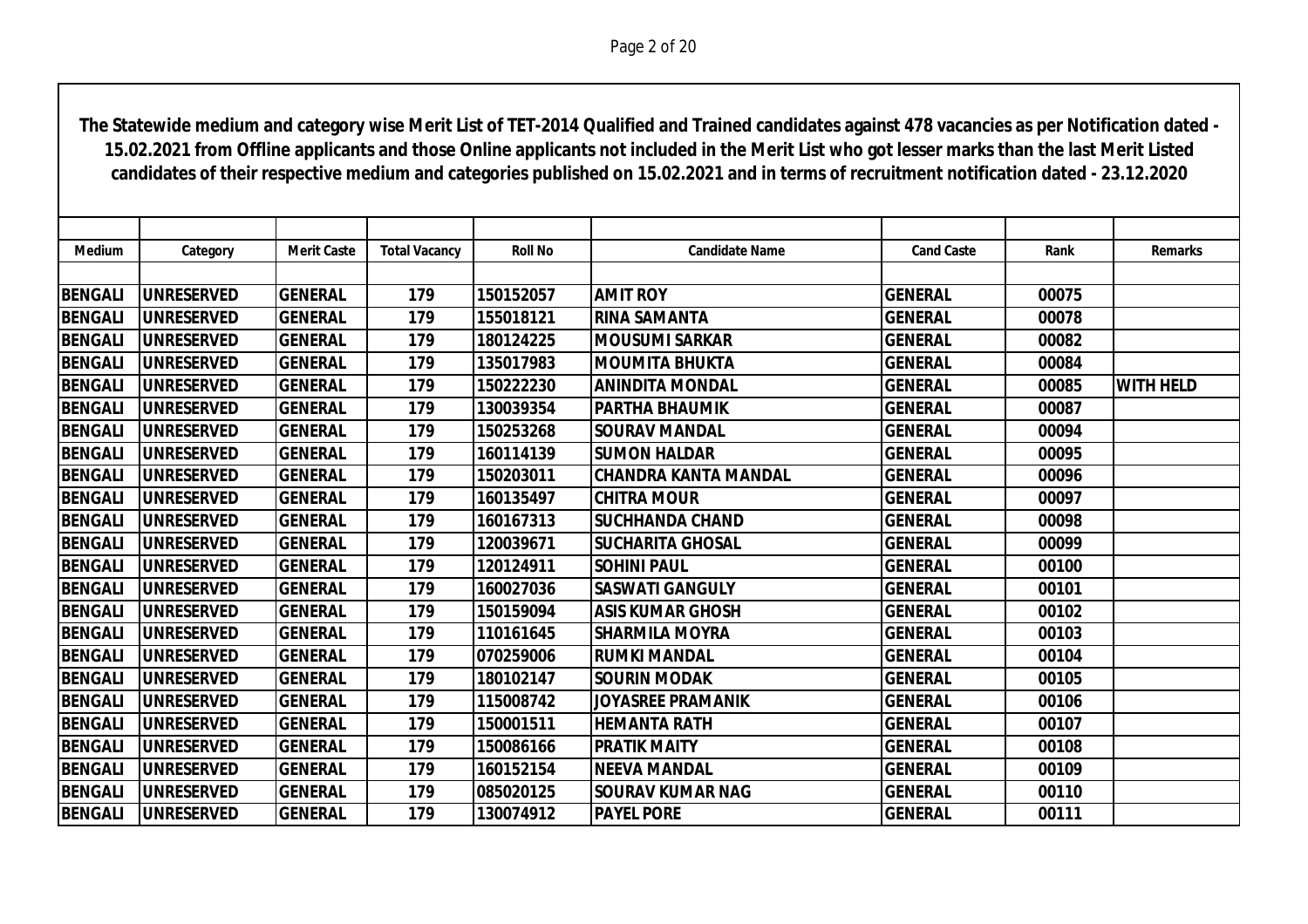| <b>Medium</b>  | Category          | <b>Merit Caste</b> | <b>Total Vacancy</b> | <b>Roll No</b> | <b>Candidate Name</b>       | <b>Cand Caste</b> | Rank  | <b>Remarks</b>   |
|----------------|-------------------|--------------------|----------------------|----------------|-----------------------------|-------------------|-------|------------------|
|                |                   |                    |                      |                |                             |                   |       |                  |
| <b>BENGALI</b> | <b>UNRESERVED</b> | <b>GENERAL</b>     | 179                  | 150152057      | <b>AMIT ROY</b>             | <b>GENERAL</b>    | 00075 |                  |
| <b>BENGALI</b> | <b>UNRESERVED</b> | <b>GENERAL</b>     | 179                  | 155018121      | <b>RINA SAMANTA</b>         | <b>GENERAL</b>    | 00078 |                  |
| <b>BENGALI</b> | <b>UNRESERVED</b> | <b>GENERAL</b>     | 179                  | 180124225      | <b>IMOUSUMI SARKAR</b>      | <b>GENERAL</b>    | 00082 |                  |
| <b>BENGALI</b> | <b>UNRESERVED</b> | <b>GENERAL</b>     | 179                  | 135017983      | <b>IMOUMITA BHUKTA</b>      | <b>GENERAL</b>    | 00084 |                  |
| <b>BENGALI</b> | <b>UNRESERVED</b> | <b>GENERAL</b>     | 179                  | 150222230      | <b>ANINDITA MONDAL</b>      | <b>GENERAL</b>    | 00085 | <b>WITH HELD</b> |
| <b>BENGALI</b> | <b>UNRESERVED</b> | <b>GENERAL</b>     | 179                  | 130039354      | <b>IPARTHA BHAUMIK</b>      | <b>GENERAL</b>    | 00087 |                  |
| <b>BENGALI</b> | <b>UNRESERVED</b> | <b>GENERAL</b>     | 179                  | 150253268      | <b>SOURAV MANDAL</b>        | <b>GENERAL</b>    | 00094 |                  |
| <b>BENGALI</b> | <b>UNRESERVED</b> | <b>GENERAL</b>     | 179                  | 160114139      | <b>SUMON HALDAR</b>         | <b>GENERAL</b>    | 00095 |                  |
| <b>BENGALI</b> | <b>UNRESERVED</b> | <b>GENERAL</b>     | 179                  | 150203011      | <b>CHANDRA KANTA MANDAL</b> | <b>GENERAL</b>    | 00096 |                  |
| <b>BENGALI</b> | <b>UNRESERVED</b> | <b>GENERAL</b>     | 179                  | 160135497      | <b>CHITRA MOUR</b>          | <b>GENERAL</b>    | 00097 |                  |
| <b>BENGALI</b> | <b>UNRESERVED</b> | <b>GENERAL</b>     | 179                  | 160167313      | <b>SUCHHANDA CHAND</b>      | <b>GENERAL</b>    | 00098 |                  |
| <b>BENGALI</b> | <b>UNRESERVED</b> | <b>GENERAL</b>     | 179                  | 120039671      | <b>SUCHARITA GHOSAL</b>     | <b>GENERAL</b>    | 00099 |                  |
| <b>BENGALI</b> | <b>UNRESERVED</b> | <b>GENERAL</b>     | 179                  | 120124911      | <b>SOHINI PAUL</b>          | <b>GENERAL</b>    | 00100 |                  |
| <b>BENGALI</b> | <b>UNRESERVED</b> | <b>GENERAL</b>     | 179                  | 160027036      | <b>SASWATI GANGULY</b>      | <b>GENERAL</b>    | 00101 |                  |
| <b>BENGALI</b> | <b>UNRESERVED</b> | <b>GENERAL</b>     | 179                  | 150159094      | <b>ASIS KUMAR GHOSH</b>     | <b>GENERAL</b>    | 00102 |                  |
| <b>BENGALI</b> | <b>UNRESERVED</b> | <b>GENERAL</b>     | 179                  | 110161645      | <b>SHARMILA MOYRA</b>       | <b>GENERAL</b>    | 00103 |                  |
| <b>BENGALI</b> | <b>UNRESERVED</b> | <b>GENERAL</b>     | 179                  | 070259006      | <b>RUMKI MANDAL</b>         | <b>GENERAL</b>    | 00104 |                  |
| <b>BENGALI</b> | <b>UNRESERVED</b> | <b>GENERAL</b>     | 179                  | 180102147      | <b>SOURIN MODAK</b>         | <b>GENERAL</b>    | 00105 |                  |
| <b>BENGALI</b> | <b>UNRESERVED</b> | <b>GENERAL</b>     | 179                  | 115008742      | <b>JOYASREE PRAMANIK</b>    | <b>GENERAL</b>    | 00106 |                  |
| <b>BENGALI</b> | <b>UNRESERVED</b> | <b>GENERAL</b>     | 179                  | 150001511      | <b>HEMANTA RATH</b>         | <b>GENERAL</b>    | 00107 |                  |
| <b>BENGALI</b> | <b>UNRESERVED</b> | <b>GENERAL</b>     | 179                  | 150086166      | <b>PRATIK MAITY</b>         | <b>GENERAL</b>    | 00108 |                  |
| <b>BENGALI</b> | <b>UNRESERVED</b> | <b>GENERAL</b>     | 179                  | 160152154      | <b>INEEVA MANDAL</b>        | <b>GENERAL</b>    | 00109 |                  |
| <b>BENGALI</b> | <b>UNRESERVED</b> | <b>GENERAL</b>     | 179                  | 085020125      | <b>SOURAV KUMAR NAG</b>     | <b>GENERAL</b>    | 00110 |                  |
| <b>BENGALI</b> | <b>UNRESERVED</b> | <b>GENERAL</b>     | 179                  | 130074912      | <b>PAYEL PORE</b>           | <b>GENERAL</b>    | 00111 |                  |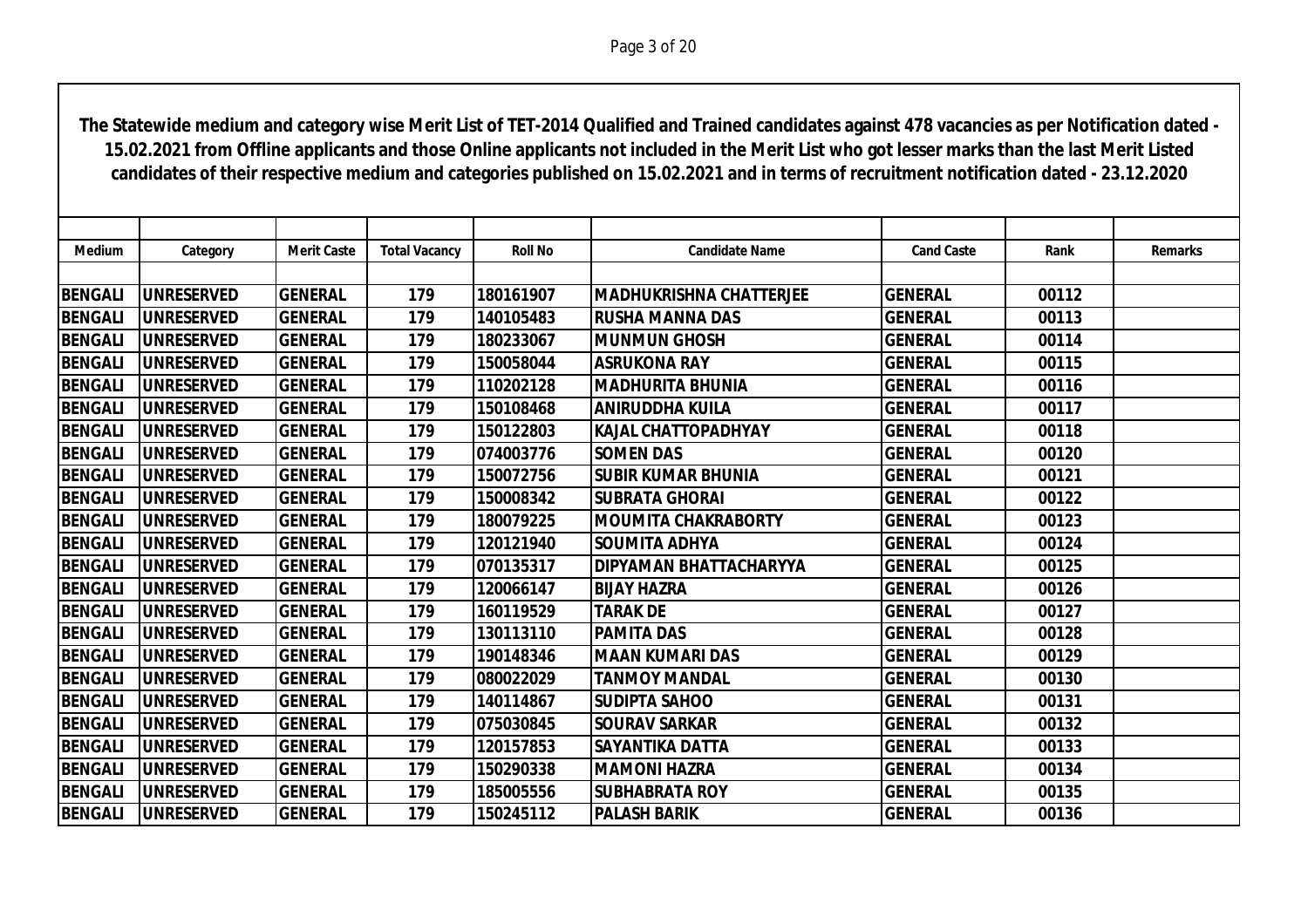| <b>Medium</b>  | Category          | <b>Merit Caste</b> | <b>Total Vacancy</b> | <b>Roll No</b> | <b>Candidate Name</b>          | <b>Cand Caste</b> | Rank  | <b>Remarks</b> |
|----------------|-------------------|--------------------|----------------------|----------------|--------------------------------|-------------------|-------|----------------|
|                |                   |                    |                      |                |                                |                   |       |                |
| <b>BENGALI</b> | <b>UNRESERVED</b> | <b>GENERAL</b>     | 179                  | 180161907      | <b>MADHUKRISHNA CHATTERJEE</b> | <b>GENERAL</b>    | 00112 |                |
| <b>BENGALI</b> | <b>UNRESERVED</b> | <b>GENERAL</b>     | 179                  | 140105483      | <b>RUSHA MANNA DAS</b>         | <b>GENERAL</b>    | 00113 |                |
| <b>BENGALI</b> | <b>UNRESERVED</b> | <b>GENERAL</b>     | 179                  | 180233067      | <b>MUNMUN GHOSH</b>            | <b>GENERAL</b>    | 00114 |                |
| <b>BENGALI</b> | <b>UNRESERVED</b> | <b>GENERAL</b>     | 179                  | 150058044      | <b>ASRUKONA RAY</b>            | <b>GENERAL</b>    | 00115 |                |
| <b>BENGALI</b> | <b>UNRESERVED</b> | <b>GENERAL</b>     | 179                  | 110202128      | <b>MADHURITA BHUNIA</b>        | <b>GENERAL</b>    | 00116 |                |
| <b>BENGALI</b> | <b>UNRESERVED</b> | <b>GENERAL</b>     | 179                  | 150108468      | <b>ANIRUDDHA KUILA</b>         | <b>GENERAL</b>    | 00117 |                |
| <b>BENGALI</b> | <b>UNRESERVED</b> | <b>GENERAL</b>     | 179                  | 150122803      | <b>KAJAL CHATTOPADHYAY</b>     | <b>GENERAL</b>    | 00118 |                |
| <b>BENGALI</b> | <b>UNRESERVED</b> | <b>GENERAL</b>     | 179                  | 074003776      | <b>SOMEN DAS</b>               | <b>GENERAL</b>    | 00120 |                |
| <b>BENGALI</b> | <b>UNRESERVED</b> | <b>GENERAL</b>     | 179                  | 150072756      | <b>SUBIR KUMAR BHUNIA</b>      | <b>GENERAL</b>    | 00121 |                |
| <b>BENGALI</b> | <b>UNRESERVED</b> | <b>GENERAL</b>     | 179                  | 150008342      | <b>SUBRATA GHORAI</b>          | <b>GENERAL</b>    | 00122 |                |
| <b>BENGALI</b> | <b>UNRESERVED</b> | <b>GENERAL</b>     | 179                  | 180079225      | <b>MOUMITA CHAKRABORTY</b>     | <b>GENERAL</b>    | 00123 |                |
| <b>BENGALI</b> | <b>UNRESERVED</b> | <b>GENERAL</b>     | 179                  | 120121940      | <b>SOUMITA ADHYA</b>           | <b>GENERAL</b>    | 00124 |                |
| <b>BENGALI</b> | <b>UNRESERVED</b> | <b>GENERAL</b>     | 179                  | 070135317      | <b>DIPYAMAN BHATTACHARYYA</b>  | <b>GENERAL</b>    | 00125 |                |
| <b>BENGALI</b> | <b>UNRESERVED</b> | <b>GENERAL</b>     | 179                  | 120066147      | <b>BIJAY HAZRA</b>             | <b>GENERAL</b>    | 00126 |                |
| <b>BENGALI</b> | <b>UNRESERVED</b> | <b>GENERAL</b>     | 179                  | 160119529      | <b>TARAK DE</b>                | <b>GENERAL</b>    | 00127 |                |
| <b>BENGALI</b> | <b>UNRESERVED</b> | <b>GENERAL</b>     | 179                  | 130113110      | <b>PAMITA DAS</b>              | <b>GENERAL</b>    | 00128 |                |
| <b>BENGALI</b> | <b>UNRESERVED</b> | <b>GENERAL</b>     | 179                  | 190148346      | <b>MAAN KUMARI DAS</b>         | <b>GENERAL</b>    | 00129 |                |
| <b>BENGALI</b> | <b>UNRESERVED</b> | <b>GENERAL</b>     | 179                  | 080022029      | <b>TANMOY MANDAL</b>           | <b>GENERAL</b>    | 00130 |                |
| <b>BENGALI</b> | <b>UNRESERVED</b> | <b>GENERAL</b>     | 179                  | 140114867      | <b>SUDIPTA SAHOO</b>           | <b>GENERAL</b>    | 00131 |                |
| <b>BENGALI</b> | <b>UNRESERVED</b> | <b>GENERAL</b>     | 179                  | 075030845      | <b>SOURAV SARKAR</b>           | <b>GENERAL</b>    | 00132 |                |
| <b>BENGALI</b> | <b>UNRESERVED</b> | <b>GENERAL</b>     | 179                  | 120157853      | <b>SAYANTIKA DATTA</b>         | <b>GENERAL</b>    | 00133 |                |
| <b>BENGALI</b> | <b>UNRESERVED</b> | <b>GENERAL</b>     | 179                  | 150290338      | <b>MAMONI HAZRA</b>            | <b>GENERAL</b>    | 00134 |                |
| <b>BENGALI</b> | <b>UNRESERVED</b> | <b>GENERAL</b>     | 179                  | 185005556      | <b>SUBHABRATA ROY</b>          | <b>GENERAL</b>    | 00135 |                |
| <b>BENGALI</b> | <b>UNRESERVED</b> | <b>GENERAL</b>     | 179                  | 150245112      | <b>PALASH BARIK</b>            | <b>GENERAL</b>    | 00136 |                |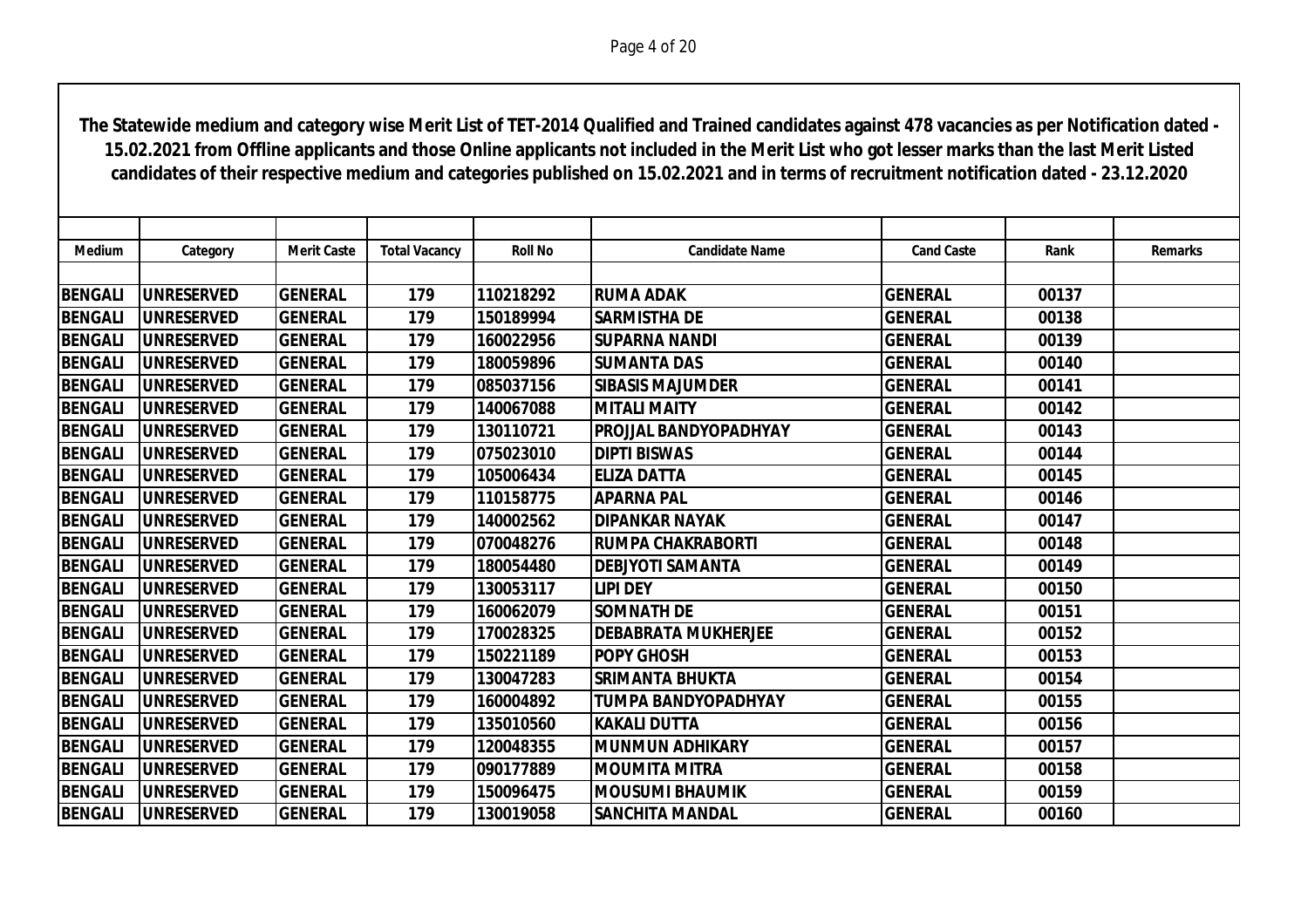| Medium         | Category          | <b>Merit Caste</b> | <b>Total Vacancy</b> | <b>Roll No</b> | <b>Candidate Name</b>        | <b>Cand Caste</b> | Rank  | <b>Remarks</b> |
|----------------|-------------------|--------------------|----------------------|----------------|------------------------------|-------------------|-------|----------------|
|                |                   |                    |                      |                |                              |                   |       |                |
| <b>BENGALI</b> | <b>UNRESERVED</b> | <b>GENERAL</b>     | 179                  | 110218292      | <b>RUMA ADAK</b>             | <b>GENERAL</b>    | 00137 |                |
| <b>BENGALI</b> | <b>UNRESERVED</b> | <b>GENERAL</b>     | 179                  | 150189994      | <b>SARMISTHA DE</b>          | <b>GENERAL</b>    | 00138 |                |
| <b>BENGALI</b> | <b>UNRESERVED</b> | <b>GENERAL</b>     | 179                  | 160022956      | <b>SUPARNA NANDI</b>         | <b>GENERAL</b>    | 00139 |                |
| <b>BENGALI</b> | <b>UNRESERVED</b> | <b>GENERAL</b>     | 179                  | 180059896      | <b>SUMANTA DAS</b>           | <b>GENERAL</b>    | 00140 |                |
| <b>BENGALI</b> | <b>UNRESERVED</b> | <b>GENERAL</b>     | 179                  | 085037156      | <b>SIBASIS MAJUMDER</b>      | <b>GENERAL</b>    | 00141 |                |
| <b>BENGALI</b> | <b>UNRESERVED</b> | <b>GENERAL</b>     | 179                  | 140067088      | <b>MITALI MAITY</b>          | <b>GENERAL</b>    | 00142 |                |
| <b>BENGALI</b> | <b>UNRESERVED</b> | <b>GENERAL</b>     | 179                  | 130110721      | <b>PROJJAL BANDYOPADHYAY</b> | <b>GENERAL</b>    | 00143 |                |
| <b>BENGALI</b> | <b>UNRESERVED</b> | <b>GENERAL</b>     | 179                  | 075023010      | <b>DIPTI BISWAS</b>          | <b>GENERAL</b>    | 00144 |                |
| <b>BENGALI</b> | <b>UNRESERVED</b> | <b>GENERAL</b>     | 179                  | 105006434      | <b>ELIZA DATTA</b>           | <b>GENERAL</b>    | 00145 |                |
| <b>BENGALI</b> | <b>UNRESERVED</b> | <b>GENERAL</b>     | 179                  | 110158775      | <b>APARNA PAL</b>            | <b>GENERAL</b>    | 00146 |                |
| <b>BENGALI</b> | <b>UNRESERVED</b> | <b>GENERAL</b>     | 179                  | 140002562      | <b>DIPANKAR NAYAK</b>        | <b>GENERAL</b>    | 00147 |                |
| <b>BENGALI</b> | <b>UNRESERVED</b> | <b>GENERAL</b>     | 179                  | 070048276      | İRUMPA CHAKRABORTI           | <b>GENERAL</b>    | 00148 |                |
| <b>BENGALI</b> | <b>UNRESERVED</b> | <b>GENERAL</b>     | 179                  | 180054480      | <b>DEBJYOTI SAMANTA</b>      | <b>GENERAL</b>    | 00149 |                |
| <b>BENGALI</b> | <b>UNRESERVED</b> | <b>GENERAL</b>     | 179                  | 130053117      | <b>LIPI DEY</b>              | <b>GENERAL</b>    | 00150 |                |
| <b>BENGALI</b> | <b>UNRESERVED</b> | <b>GENERAL</b>     | 179                  | 160062079      | <b>SOMNATH DE</b>            | <b>GENERAL</b>    | 00151 |                |
| <b>BENGALI</b> | <b>UNRESERVED</b> | <b>GENERAL</b>     | 179                  | 170028325      | <b>IDEBABRATA MUKHERJEE</b>  | <b>GENERAL</b>    | 00152 |                |
| <b>BENGALI</b> | <b>UNRESERVED</b> | <b>GENERAL</b>     | 179                  | 150221189      | <b>POPY GHOSH</b>            | <b>GENERAL</b>    | 00153 |                |
| <b>BENGALI</b> | <b>UNRESERVED</b> | <b>GENERAL</b>     | 179                  | 130047283      | <b>SRIMANTA BHUKTA</b>       | <b>GENERAL</b>    | 00154 |                |
| <b>BENGALI</b> | <b>UNRESERVED</b> | <b>GENERAL</b>     | 179                  | 160004892      | TUMPA BANDYOPADHYAY          | <b>GENERAL</b>    | 00155 |                |
| <b>BENGALI</b> | <b>UNRESERVED</b> | <b>GENERAL</b>     | 179                  | 135010560      | KAKALI DUTTA                 | <b>GENERAL</b>    | 00156 |                |
| <b>BENGALI</b> | <b>UNRESERVED</b> | <b>GENERAL</b>     | 179                  | 120048355      | <b>IMUNMUN ADHIKARY</b>      | <b>GENERAL</b>    | 00157 |                |
| <b>BENGALI</b> | <b>UNRESERVED</b> | <b>GENERAL</b>     | 179                  | 090177889      | <b>IMOUMITA MITRA</b>        | <b>GENERAL</b>    | 00158 |                |
| <b>BENGALI</b> | <b>UNRESERVED</b> | <b>GENERAL</b>     | 179                  | 150096475      | <b>IMOUSUMI BHAUMIK</b>      | <b>GENERAL</b>    | 00159 |                |
| <b>BENGALI</b> | <b>UNRESERVED</b> | <b>GENERAL</b>     | 179                  | 130019058      | <b>SANCHITA MANDAL</b>       | <b>GENERAL</b>    | 00160 |                |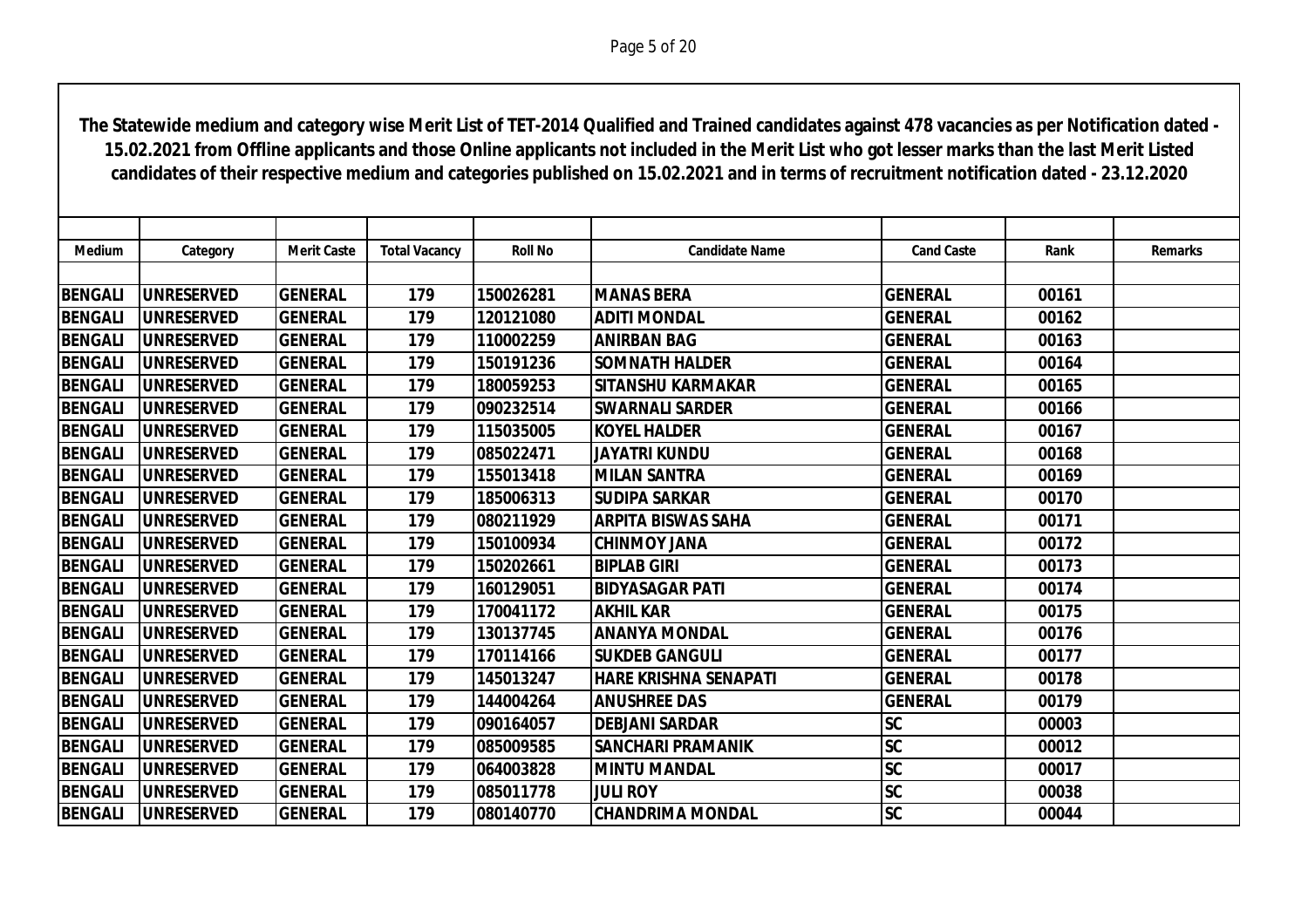| Medium         | Category           | <b>Merit Caste</b> | <b>Total Vacancy</b> | <b>Roll No</b> | <b>Candidate Name</b>        | <b>Cand Caste</b>      | Rank  | <b>Remarks</b> |
|----------------|--------------------|--------------------|----------------------|----------------|------------------------------|------------------------|-------|----------------|
|                |                    |                    |                      |                |                              |                        |       |                |
| <b>BENGALI</b> | <b>UNRESERVED</b>  | <b>GENERAL</b>     | 179                  | 150026281      | <b>MANAS BERA</b>            | <b>GENERAL</b>         | 00161 |                |
| <b>BENGALI</b> | <b>UNRESERVED</b>  | <b>GENERAL</b>     | 179                  | 120121080      | <b>ADITI MONDAL</b>          | <b>GENERAL</b>         | 00162 |                |
| <b>BENGALI</b> | <b>UNRESERVED</b>  | <b>GENERAL</b>     | 179                  | 110002259      | <b>ANIRBAN BAG</b>           | <b>GENERAL</b>         | 00163 |                |
| <b>BENGALI</b> | <b>UNRESERVED</b>  | <b>GENERAL</b>     | 179                  | 150191236      | <b>SOMNATH HALDER</b>        | <b>GENERAL</b>         | 00164 |                |
| <b>BENGALI</b> | <b>UNRESERVED</b>  | <b>GENERAL</b>     | 179                  | 180059253      | <b>SITANSHU KARMAKAR</b>     | <b>GENERAL</b>         | 00165 |                |
| <b>BENGALI</b> | <b>UNRESERVED</b>  | <b>GENERAL</b>     | 179                  | 090232514      | <b>SWARNALI SARDER</b>       | <b>GENERAL</b>         | 00166 |                |
| <b>BENGALI</b> | <b>UNRESERVED</b>  | <b>GENERAL</b>     | 179                  | 115035005      | <b>KOYEL HALDER</b>          | <b>GENERAL</b>         | 00167 |                |
| <b>BENGALI</b> | <b>UNRESERVED</b>  | <b>GENERAL</b>     | 179                  | 085022471      | <b>JAYATRI KUNDU</b>         | <b>GENERAL</b>         | 00168 |                |
| <b>BENGALI</b> | <b>UNRESERVED</b>  | <b>GENERAL</b>     | 179                  | 155013418      | <b>MILAN SANTRA</b>          | <b>GENERAL</b>         | 00169 |                |
| <b>BENGALI</b> | <b>UNRESERVED</b>  | <b>GENERAL</b>     | 179                  | 185006313      | <b>SUDIPA SARKAR</b>         | <b>GENERAL</b>         | 00170 |                |
| <b>BENGALI</b> | <b>UNRESERVED</b>  | <b>GENERAL</b>     | 179                  | 080211929      | <b>ARPITA BISWAS SAHA</b>    | <b>GENERAL</b>         | 00171 |                |
| <b>BENGALI</b> | <b>UNRESERVED</b>  | <b>GENERAL</b>     | 179                  | 150100934      | <b>CHINMOY JANA</b>          | <b>GENERAL</b>         | 00172 |                |
| <b>BENGALI</b> | <b>UNRESERVED</b>  | <b>GENERAL</b>     | 179                  | 150202661      | <b>BIPLAB GIRI</b>           | <b>GENERAL</b>         | 00173 |                |
| <b>BENGALI</b> | <b>UNRESERVED</b>  | <b>GENERAL</b>     | 179                  | 160129051      | <b>BIDYASAGAR PATI</b>       | <b>GENERAL</b>         | 00174 |                |
| <b>BENGALI</b> | <b>UNRESERVED</b>  | <b>GENERAL</b>     | 179                  | 170041172      | <b>AKHIL KAR</b>             | <b>GENERAL</b>         | 00175 |                |
| <b>BENGALI</b> | <b>IUNRESERVED</b> | <b>GENERAL</b>     | 179                  | 130137745      | <b>ANANYA MONDAL</b>         | <b>GENERAL</b>         | 00176 |                |
| <b>BENGALI</b> | <b>UNRESERVED</b>  | <b>GENERAL</b>     | 179                  | 170114166      | <b>SUKDEB GANGULI</b>        | <b>GENERAL</b>         | 00177 |                |
| <b>BENGALI</b> | <b>UNRESERVED</b>  | <b>GENERAL</b>     | 179                  | 145013247      | <b>HARE KRISHNA SENAPATI</b> | <b>GENERAL</b>         | 00178 |                |
| <b>BENGALI</b> | <b>UNRESERVED</b>  | <b>GENERAL</b>     | 179                  | 144004264      | <b>ANUSHREE DAS</b>          | <b>GENERAL</b>         | 00179 |                |
| <b>BENGALI</b> | <b>UNRESERVED</b>  | <b>GENERAL</b>     | 179                  | 090164057      | <b>DEBJANI SARDAR</b>        | <b>SC</b>              | 00003 |                |
| <b>BENGALI</b> | <b>UNRESERVED</b>  | <b>GENERAL</b>     | 179                  | 085009585      | <b>SANCHARI PRAMANIK</b>     | <b>SC</b>              | 00012 |                |
| <b>BENGALI</b> | <b>UNRESERVED</b>  | <b>GENERAL</b>     | 179                  | 064003828      | <b>MINTU MANDAL</b>          | $\overline{\text{SC}}$ | 00017 |                |
| <b>BENGALI</b> | <b>UNRESERVED</b>  | <b>GENERAL</b>     | 179                  | 085011778      | <b>JULI ROY</b>              | <b>SC</b>              | 00038 |                |
| <b>BENGALI</b> | <b>UNRESERVED</b>  | <b>GENERAL</b>     | 179                  | 080140770      | <b>CHANDRIMA MONDAL</b>      | <b>SC</b>              | 00044 |                |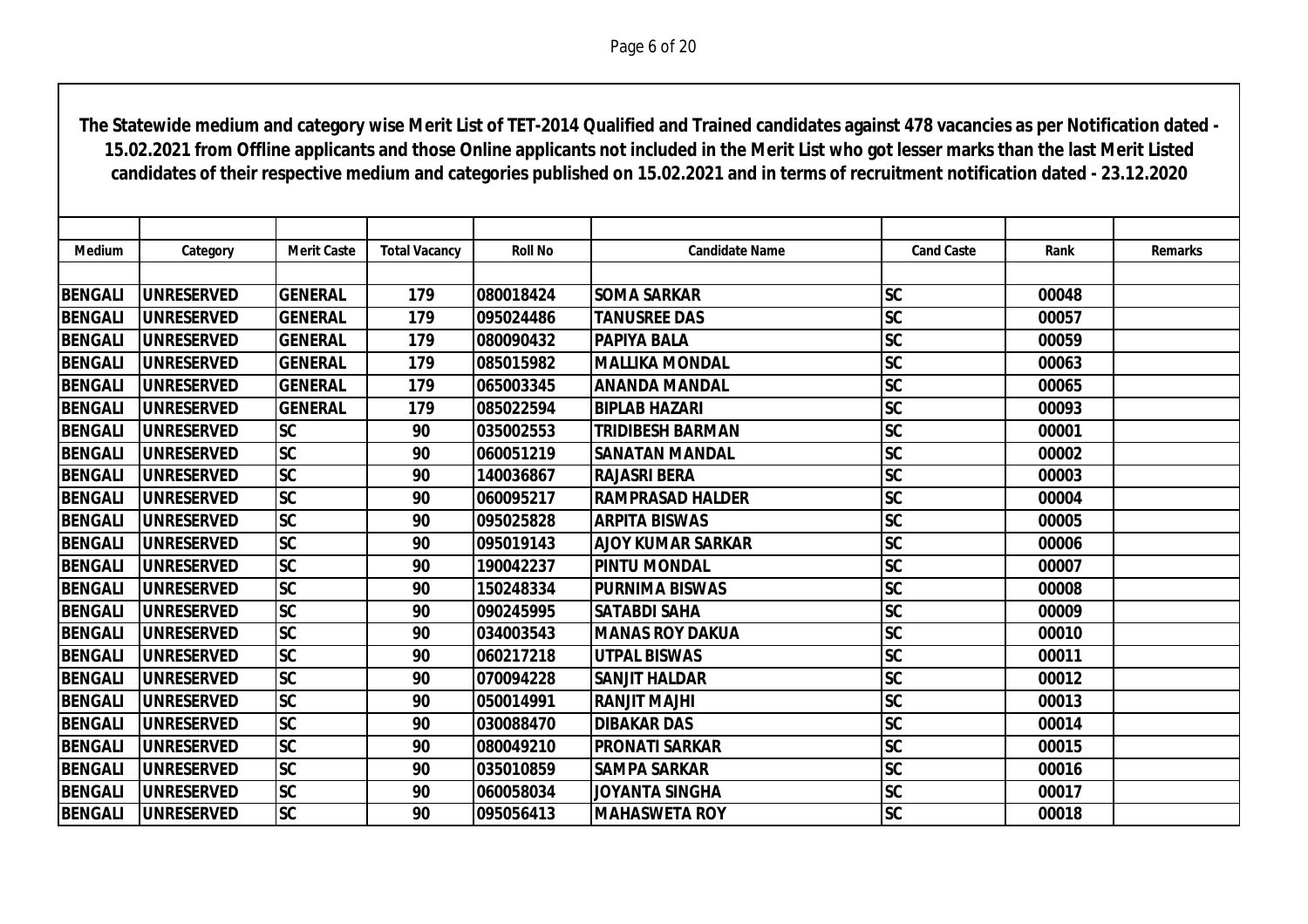| <b>Medium</b>  | Category           | <b>Merit Caste</b> | <b>Total Vacancy</b> | <b>Roll No</b> | <b>Candidate Name</b>    | <b>Cand Caste</b>      | Rank  | <b>Remarks</b> |
|----------------|--------------------|--------------------|----------------------|----------------|--------------------------|------------------------|-------|----------------|
|                |                    |                    |                      |                |                          |                        |       |                |
| <b>BENGALI</b> | <b>UNRESERVED</b>  | <b>GENERAL</b>     | 179                  | 080018424      | <b>SOMA SARKAR</b>       | <b>SC</b>              | 00048 |                |
| <b>BENGALI</b> | <b>UNRESERVED</b>  | <b>GENERAL</b>     | 179                  | 095024486      | <b>TANUSREE DAS</b>      | <b>SC</b>              | 00057 |                |
| <b>BENGALI</b> | <b>UNRESERVED</b>  | <b>GENERAL</b>     | 179                  | 080090432      | <b>PAPIYA BALA</b>       | <b>SC</b>              | 00059 |                |
| <b>BENGALI</b> | <b>UNRESERVED</b>  | <b>GENERAL</b>     | 179                  | 085015982      | <b>MALLIKA MONDAL</b>    | <b>SC</b>              | 00063 |                |
| <b>BENGALI</b> | <b>UNRESERVED</b>  | <b>GENERAL</b>     | 179                  | 065003345      | <b>ANANDA MANDAL</b>     | <b>SC</b>              | 00065 |                |
| <b>BENGALI</b> | <b>UNRESERVED</b>  | <b>GENERAL</b>     | 179                  | 085022594      | <b>BIPLAB HAZARI</b>     | <b>SC</b>              | 00093 |                |
| <b>BENGALI</b> | <b>UNRESERVED</b>  | <b>SC</b>          | 90                   | 035002553      | <b>TRIDIBESH BARMAN</b>  | <b>SC</b>              | 00001 |                |
| <b>BENGALI</b> | <b>UNRESERVED</b>  | <b>SC</b>          | 90                   | 060051219      | <b>SANATAN MANDAL</b>    | <b>SC</b>              | 00002 |                |
| <b>BENGALI</b> | <b>UNRESERVED</b>  | <b>SC</b>          | 90                   | 140036867      | <b>RAJASRI BERA</b>      | <b>SC</b>              | 00003 |                |
| <b>BENGALI</b> | <b>UNRESERVED</b>  | <b>SC</b>          | 90                   | 060095217      | <b>RAMPRASAD HALDER</b>  | <b>SC</b>              | 00004 |                |
| <b>BENGALI</b> | <b>UNRESERVED</b>  | <b>SC</b>          | 90                   | 095025828      | <b>ARPITA BISWAS</b>     | $\overline{\text{SC}}$ | 00005 |                |
| <b>BENGALI</b> | <b>UNRESERVED</b>  | <b>SC</b>          | 90                   | 095019143      | <b>AJOY KUMAR SARKAR</b> | <b>SC</b>              | 00006 |                |
| <b>BENGALI</b> | <b>UNRESERVED</b>  | <b>SC</b>          | 90                   | 190042237      | <b>PINTU MONDAL</b>      | <b>SC</b>              | 00007 |                |
| <b>BENGALI</b> | <b>UNRESERVED</b>  | <b>SC</b>          | 90                   | 150248334      | <b>PURNIMA BISWAS</b>    | <b>SC</b>              | 00008 |                |
| <b>BENGALI</b> | <b>UNRESERVED</b>  | <b>SC</b>          | 90                   | 090245995      | <b>SATABDI SAHA</b>      | <b>SC</b>              | 00009 |                |
| <b>BENGALI</b> | <b>UNRESERVED</b>  | <b>SC</b>          | 90                   | 034003543      | <b>IMANAS ROY DAKUA</b>  | <b>SC</b>              | 00010 |                |
| <b>BENGALI</b> | <b>UNRESERVED</b>  | <b>SC</b>          | 90                   | 060217218      | <b>UTPAL BISWAS</b>      | <b>SC</b>              | 00011 |                |
| <b>BENGALI</b> | <b>UNRESERVED</b>  | <b>SC</b>          | 90                   | 070094228      | <b>SANJIT HALDAR</b>     | <b>SC</b>              | 00012 |                |
| <b>BENGALI</b> | <b>UNRESERVED</b>  | <b>SC</b>          | 90                   | 050014991      | IRANJIT MAJHI            | <b>SC</b>              | 00013 |                |
| <b>BENGALI</b> | <b>UNRESERVED</b>  | <b>SC</b>          | 90                   | 030088470      | <b>DIBAKAR DAS</b>       | <b>SC</b>              | 00014 |                |
| <b>BENGALI</b> | <b>IUNRESERVED</b> | <b>SC</b>          | 90                   | 080049210      | <b>IPRONATI SARKAR</b>   | <b>SC</b>              | 00015 |                |
| <b>BENGALI</b> | <b>UNRESERVED</b>  | <b>SC</b>          | 90                   | 035010859      | <b>SAMPA SARKAR</b>      | $\overline{\text{SC}}$ | 00016 |                |
| <b>BENGALI</b> | <b>UNRESERVED</b>  | <b>SC</b>          | 90                   | 060058034      | JOYANTA SINGHA           | <b>SC</b>              | 00017 |                |
| <b>BENGALI</b> | <b>UNRESERVED</b>  | <b>SC</b>          | 90                   | 095056413      | <b>MAHASWETA ROY</b>     | <b>SC</b>              | 00018 |                |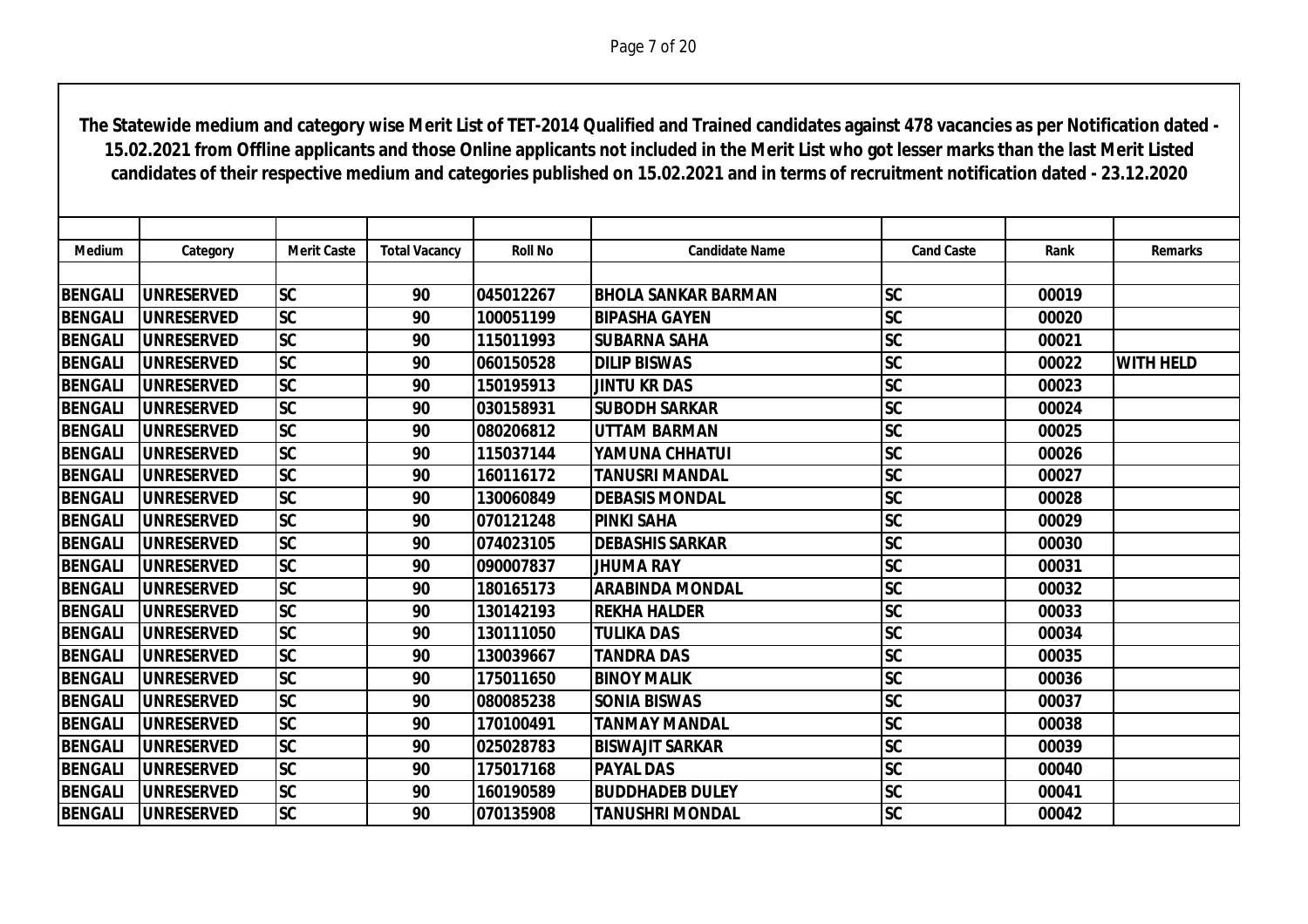| <b>Medium</b>  | Category           | <b>Merit Caste</b> | <b>Total Vacancy</b> | <b>Roll No</b> | <b>Candidate Name</b>      | <b>Cand Caste</b>      | Rank  | <b>Remarks</b>   |
|----------------|--------------------|--------------------|----------------------|----------------|----------------------------|------------------------|-------|------------------|
|                |                    |                    |                      |                |                            |                        |       |                  |
| <b>BENGALI</b> | <b>UNRESERVED</b>  | <b>SC</b>          | 90                   | 045012267      | <b>BHOLA SANKAR BARMAN</b> | <b>SC</b>              | 00019 |                  |
| <b>BENGALI</b> | <b>UNRESERVED</b>  | <b>SC</b>          | 90                   | 100051199      | <b>BIPASHA GAYEN</b>       | <b>SC</b>              | 00020 |                  |
| <b>BENGALI</b> | <b>UNRESERVED</b>  | <b>SC</b>          | 90                   | 115011993      | <b>SUBARNA SAHA</b>        | <b>SC</b>              | 00021 |                  |
| <b>BENGALI</b> | <b>UNRESERVED</b>  | SC                 | 90                   | 060150528      | <b>DILIP BISWAS</b>        | $\overline{\text{SC}}$ | 00022 | <b>WITH HELD</b> |
| <b>BENGALI</b> | <b>IUNRESERVED</b> | <b>SC</b>          | 90                   | 150195913      | <b>JINTU KR DAS</b>        | <b>SC</b>              | 00023 |                  |
| <b>BENGALI</b> | <b>UNRESERVED</b>  | <b>SC</b>          | 90                   | 030158931      | <b>SUBODH SARKAR</b>       | <b>SC</b>              | 00024 |                  |
| <b>BENGALI</b> | <b>UNRESERVED</b>  | <b>SC</b>          | 90                   | 080206812      | <b>UTTAM BARMAN</b>        | SC                     | 00025 |                  |
| <b>BENGALI</b> | <b>UNRESERVED</b>  | <b>SC</b>          | 90                   | 115037144      | YAMUNA CHHATUI             | <b>SC</b>              | 00026 |                  |
| <b>BENGALI</b> | <b>UNRESERVED</b>  | <b>SC</b>          | 90                   | 160116172      | <b>TANUSRI MANDAL</b>      | <b>SC</b>              | 00027 |                  |
| <b>BENGALI</b> | <b>UNRESERVED</b>  | <b>SC</b>          | 90                   | 130060849      | <b>DEBASIS MONDAL</b>      | <b>SC</b>              | 00028 |                  |
| <b>BENGALI</b> | <b>UNRESERVED</b>  | <b>SC</b>          | 90                   | 070121248      | <b>PINKI SAHA</b>          | <b>SC</b>              | 00029 |                  |
| <b>BENGALI</b> | <b>UNRESERVED</b>  | <b>SC</b>          | 90                   | 074023105      | <b>DEBASHIS SARKAR</b>     | <b>SC</b>              | 00030 |                  |
| <b>BENGALI</b> | <b>IUNRESERVED</b> | <b>SC</b>          | 90                   | 090007837      | <b>JHUMA RAY</b>           | <b>SC</b>              | 00031 |                  |
| <b>BENGALI</b> | <b>UNRESERVED</b>  | <b>SC</b>          | 90                   | 180165173      | <b>ARABINDA MONDAL</b>     | <b>SC</b>              | 00032 |                  |
| <b>BENGALI</b> | <b>UNRESERVED</b>  | <b>SC</b>          | 90                   | 130142193      | <b>REKHA HALDER</b>        | <b>SC</b>              | 00033 |                  |
| <b>BENGALI</b> | <b>IUNRESERVED</b> | <b>SC</b>          | 90                   | 130111050      | <b>TULIKA DAS</b>          | <b>SC</b>              | 00034 |                  |
| <b>BENGALI</b> | <b>UNRESERVED</b>  | <b>SC</b>          | 90                   | 130039667      | <b>TANDRA DAS</b>          | <b>SC</b>              | 00035 |                  |
| <b>BENGALI</b> | <b>UNRESERVED</b>  | <b>SC</b>          | 90                   | 175011650      | <b>BINOY MALIK</b>         | <b>SC</b>              | 00036 |                  |
| <b>BENGALI</b> | <b>UNRESERVED</b>  | <b>SC</b>          | 90                   | 080085238      | <b>SONIA BISWAS</b>        | <b>SC</b>              | 00037 |                  |
| <b>BENGALI</b> | <b>UNRESERVED</b>  | <b>SC</b>          | 90                   | 170100491      | <b>TANMAY MANDAL</b>       | <b>SC</b>              | 00038 |                  |
| <b>BENGALI</b> | <b>IUNRESERVED</b> | <b>SC</b>          | 90                   | 025028783      | <b>BISWAJIT SARKAR</b>     | <b>SC</b>              | 00039 |                  |
| <b>BENGALI</b> | <b>UNRESERVED</b>  | $ \mathsf{SC} $    | 90                   | 175017168      | <b>PAYAL DAS</b>           | <b>SC</b>              | 00040 |                  |
| <b>BENGALI</b> | <b>UNRESERVED</b>  | <b>SC</b>          | 90                   | 160190589      | <b>BUDDHADEB DULEY</b>     | <b>SC</b>              | 00041 |                  |
| <b>BENGALI</b> | <b>UNRESERVED</b>  | <b>SC</b>          | 90                   | 070135908      | <b>TANUSHRI MONDAL</b>     | <b>SC</b>              | 00042 |                  |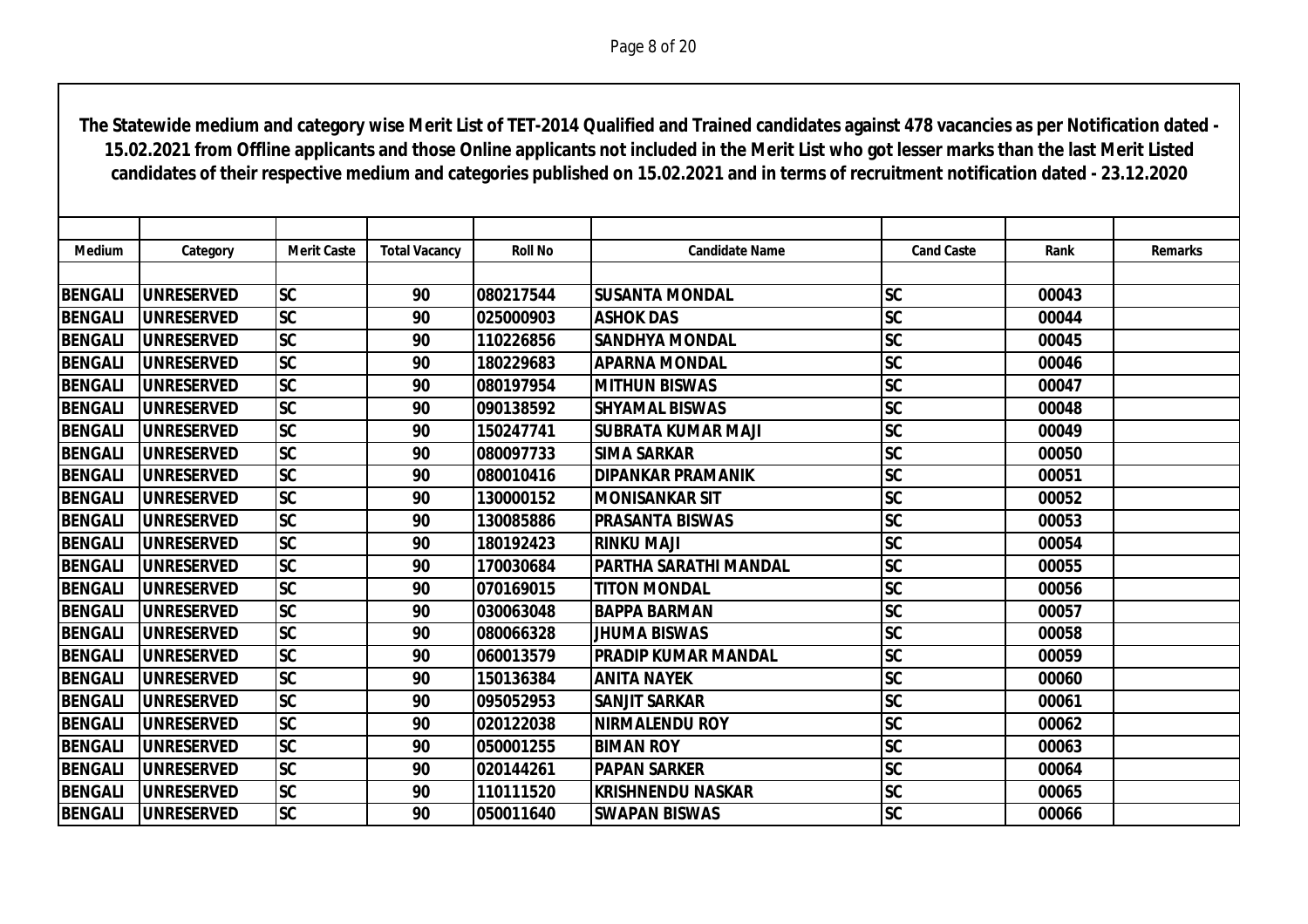| <b>Medium</b>  | Category           | <b>Merit Caste</b> | <b>Total Vacancy</b> | <b>Roll No</b> | <b>Candidate Name</b>        | <b>Cand Caste</b>      | Rank  | <b>Remarks</b> |
|----------------|--------------------|--------------------|----------------------|----------------|------------------------------|------------------------|-------|----------------|
|                |                    |                    |                      |                |                              |                        |       |                |
| <b>BENGALI</b> | <b>UNRESERVED</b>  | <b>SC</b>          | 90                   | 080217544      | <b>SUSANTA MONDAL</b>        | <b>SC</b>              | 00043 |                |
| <b>BENGALI</b> | <b>UNRESERVED</b>  | <b>SC</b>          | 90                   | 025000903      | <b>ASHOK DAS</b>             | <b>SC</b>              | 00044 |                |
| <b>BENGALI</b> | <b>UNRESERVED</b>  | $ \overline{SC} $  | 90                   | 110226856      | <b>SANDHYA MONDAL</b>        | $\overline{\text{SC}}$ | 00045 |                |
| <b>BENGALI</b> | <b>UNRESERVED</b>  | SC                 | 90                   | 180229683      | <b>APARNA MONDAL</b>         | $\overline{\text{SC}}$ | 00046 |                |
| <b>BENGALI</b> | <b>IUNRESERVED</b> | <b>SC</b>          | 90                   | 080197954      | <b>MITHUN BISWAS</b>         | <b>SC</b>              | 00047 |                |
| <b>BENGALI</b> | <b>UNRESERVED</b>  | <b>SC</b>          | 90                   | 090138592      | <b>SHYAMAL BISWAS</b>        | <b>SC</b>              | 00048 |                |
| <b>BENGALI</b> | <b>UNRESERVED</b>  | <b>SC</b>          | 90                   | 150247741      | <b>SUBRATA KUMAR MAJI</b>    | <b>SC</b>              | 00049 |                |
| <b>BENGALI</b> | <b>IUNRESERVED</b> | <b>SC</b>          | 90                   | 080097733      | <b>SIMA SARKAR</b>           | <b>SC</b>              | 00050 |                |
| <b>BENGALI</b> | <b>UNRESERVED</b>  | <b>SC</b>          | 90                   | 080010416      | <b>DIPANKAR PRAMANIK</b>     | <b>SC</b>              | 00051 |                |
| <b>BENGALI</b> | <b>UNRESERVED</b>  | <b>SC</b>          | 90                   | 130000152      | <b>MONISANKAR SIT</b>        | <b>SC</b>              | 00052 |                |
| <b>BENGALI</b> | <b>UNRESERVED</b>  | $ \overline{SC} $  | 90                   | 130085886      | <b>PRASANTA BISWAS</b>       | $\overline{\text{SC}}$ | 00053 |                |
| <b>BENGALI</b> | <b>UNRESERVED</b>  | <b>SC</b>          | 90                   | 180192423      | <b>RINKU MAJI</b>            | <b>SC</b>              | 00054 |                |
| <b>BENGALI</b> | <b>IUNRESERVED</b> | <b>SC</b>          | 90                   | 170030684      | <b>PARTHA SARATHI MANDAL</b> | <b>SC</b>              | 00055 |                |
| <b>BENGALI</b> | <b>UNRESERVED</b>  | <b>SC</b>          | 90                   | 070169015      | <b>TITON MONDAL</b>          | <b>SC</b>              | 00056 |                |
| <b>BENGALI</b> | <b>UNRESERVED</b>  | <b>SC</b>          | 90                   | 030063048      | <b>BAPPA BARMAN</b>          | <b>SC</b>              | 00057 |                |
| <b>BENGALI</b> | <b>IUNRESERVED</b> | <b>SC</b>          | 90                   | 080066328      | <b>JHUMA BISWAS</b>          | <b>SC</b>              | 00058 |                |
| <b>BENGALI</b> | <b>UNRESERVED</b>  | <b>SC</b>          | 90                   | 060013579      | <b>PRADIP KUMAR MANDAL</b>   | <b>SC</b>              | 00059 |                |
| <b>BENGALI</b> | <b>UNRESERVED</b>  | <b>SC</b>          | 90                   | 150136384      | <b>ANITA NAYEK</b>           | <b>SC</b>              | 00060 |                |
| <b>BENGALI</b> | <b>UNRESERVED</b>  | <b>SC</b>          | 90                   | 095052953      | <b>SANJIT SARKAR</b>         | <b>SC</b>              | 00061 |                |
| <b>BENGALI</b> | <b>UNRESERVED</b>  | <b>SC</b>          | 90                   | 020122038      | <b>NIRMALENDU ROY</b>        | <b>SC</b>              | 00062 |                |
| <b>BENGALI</b> | <b>IUNRESERVED</b> | <b>SC</b>          | 90                   | 050001255      | <b>BIMAN ROY</b>             | <b>SC</b>              | 00063 |                |
| <b>BENGALI</b> | <b>UNRESERVED</b>  | <b>SC</b>          | 90                   | 020144261      | <b>PAPAN SARKER</b>          | <b>SC</b>              | 00064 |                |
| <b>BENGALI</b> | <b>UNRESERVED</b>  | <b>SC</b>          | 90                   | 110111520      | <b>KRISHNENDU NASKAR</b>     | <b>SC</b>              | 00065 |                |
| <b>BENGALI</b> | <b>UNRESERVED</b>  | <b>SC</b>          | 90                   | 050011640      | <b>SWAPAN BISWAS</b>         | <b>SC</b>              | 00066 |                |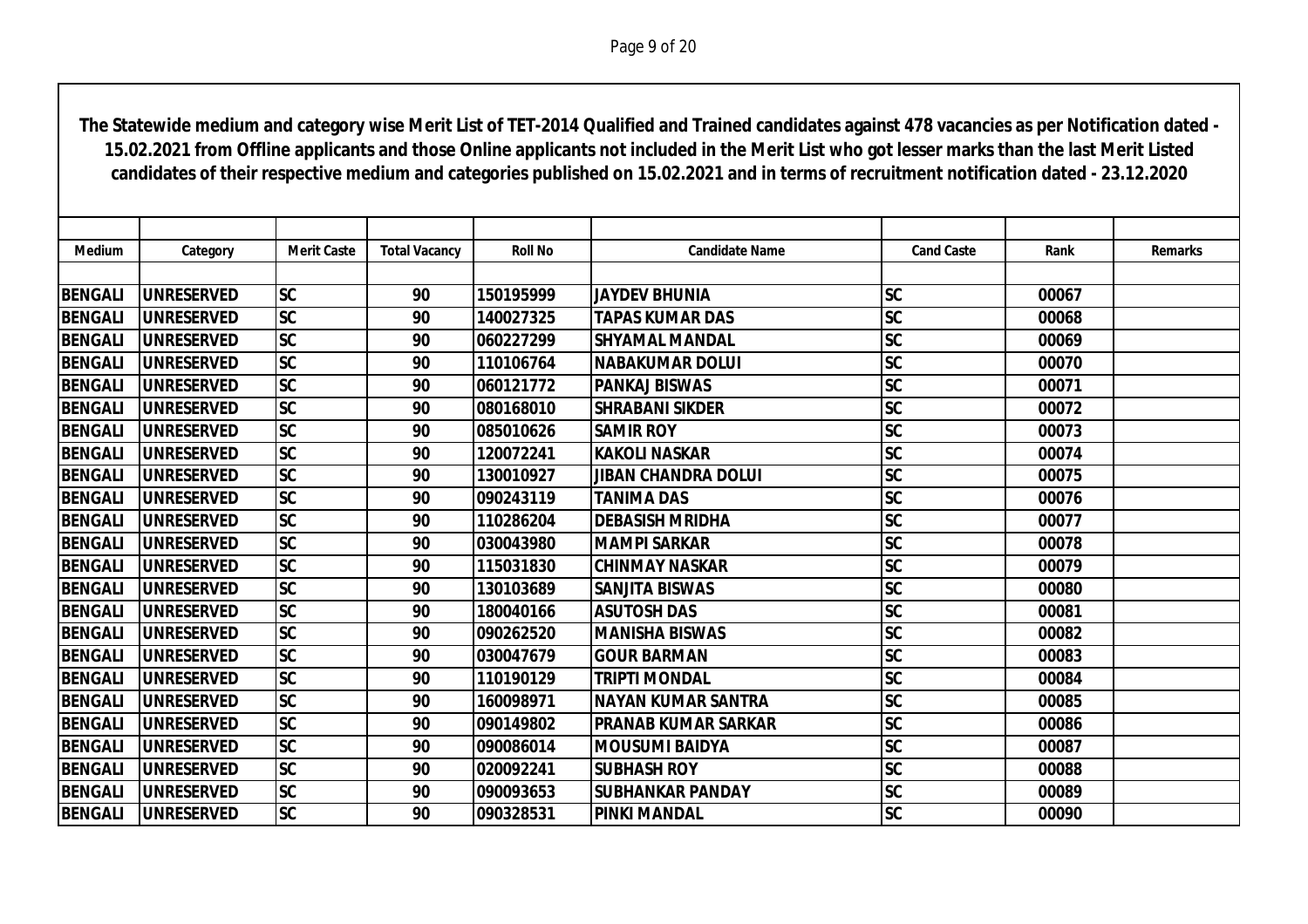| <b>Medium</b>  | Category           | <b>Merit Caste</b> | <b>Total Vacancy</b> | <b>Roll No</b> | <b>Candidate Name</b>      | <b>Cand Caste</b>      | Rank  | <b>Remarks</b> |
|----------------|--------------------|--------------------|----------------------|----------------|----------------------------|------------------------|-------|----------------|
|                |                    |                    |                      |                |                            |                        |       |                |
| <b>BENGALI</b> | <b>UNRESERVED</b>  | <b>SC</b>          | 90                   | 150195999      | <b>JAYDEV BHUNIA</b>       | <b>SC</b>              | 00067 |                |
| <b>BENGALI</b> | <b>UNRESERVED</b>  | <b>SC</b>          | 90                   | 140027325      | <b>TAPAS KUMAR DAS</b>     | <b>SC</b>              | 00068 |                |
| <b>BENGALI</b> | <b>UNRESERVED</b>  | <b>SC</b>          | 90                   | 060227299      | <b>SHYAMAL MANDAL</b>      | <b>SC</b>              | 00069 |                |
| <b>BENGALI</b> | <b>UNRESERVED</b>  | <b>SC</b>          | 90                   | 110106764      | <b>NABAKUMAR DOLUI</b>     | <b>SC</b>              | 00070 |                |
| <b>BENGALI</b> | <b>UNRESERVED</b>  | <b>SC</b>          | 90                   | 060121772      | <b>PANKAJ BISWAS</b>       | <b>SC</b>              | 00071 |                |
| <b>BENGALI</b> | <b>UNRESERVED</b>  | <b>SC</b>          | 90                   | 080168010      | <b>SHRABANI SIKDER</b>     | <b>SC</b>              | 00072 |                |
| <b>BENGALI</b> | <b>UNRESERVED</b>  | <b>SC</b>          | 90                   | 085010626      | <b>SAMIR ROY</b>           | <b>SC</b>              | 00073 |                |
| <b>BENGALI</b> | <b>UNRESERVED</b>  | <b>SC</b>          | 90                   | 120072241      | <b>KAKOLI NASKAR</b>       | <b>SC</b>              | 00074 |                |
| <b>BENGALI</b> | <b>UNRESERVED</b>  | <b>SC</b>          | 90                   | 130010927      | <b>JIBAN CHANDRA DOLUI</b> | <b>SC</b>              | 00075 |                |
| <b>BENGALI</b> | <b>UNRESERVED</b>  | <b>SC</b>          | 90                   | 090243119      | <b>TANIMA DAS</b>          | <b>SC</b>              | 00076 |                |
| <b>BENGALI</b> | <b>UNRESERVED</b>  | <b>SC</b>          | 90                   | 110286204      | <b>DEBASISH MRIDHA</b>     | <b>SC</b>              | 00077 |                |
| <b>BENGALI</b> | <b>UNRESERVED</b>  | <b>SC</b>          | 90                   | 030043980      | <b>MAMPI SARKAR</b>        | <b>SC</b>              | 00078 |                |
| <b>BENGALI</b> | <b>UNRESERVED</b>  | <b>SC</b>          | 90                   | 115031830      | <b>CHINMAY NASKAR</b>      | <b>SC</b>              | 00079 |                |
| <b>BENGALI</b> | <b>UNRESERVED</b>  | <b>SC</b>          | 90                   | 130103689      | <b>SANJITA BISWAS</b>      | <b>SC</b>              | 00080 |                |
| <b>BENGALI</b> | <b>UNRESERVED</b>  | <b>SC</b>          | 90                   | 180040166      | <b>ASUTOSH DAS</b>         | <b>SC</b>              | 00081 |                |
| <b>BENGALI</b> | <b>IUNRESERVED</b> | <b>SC</b>          | 90                   | 090262520      | <b>IMANISHA BISWAS</b>     | <b>SC</b>              | 00082 |                |
| <b>BENGALI</b> | <b>UNRESERVED</b>  | <b>SC</b>          | 90                   | 030047679      | <b>GOUR BARMAN</b>         | <b>SC</b>              | 00083 |                |
| <b>BENGALI</b> | <b>UNRESERVED</b>  | <b>SC</b>          | 90                   | 110190129      | <b>TRIPTI MONDAL</b>       | <b>SC</b>              | 00084 |                |
| <b>BENGALI</b> | <b>UNRESERVED</b>  | <b>SC</b>          | 90                   | 160098971      | <b>NAYAN KUMAR SANTRA</b>  | <b>SC</b>              | 00085 |                |
| <b>BENGALI</b> | <b>UNRESERVED</b>  | <b>SC</b>          | 90                   | 090149802      | IPRANAB KUMAR SARKAR       | <b>SC</b>              | 00086 |                |
| <b>BENGALI</b> | <b>UNRESERVED</b>  | <b>SC</b>          | 90                   | 090086014      | <b>MOUSUMI BAIDYA</b>      | <b>SC</b>              | 00087 |                |
| <b>BENGALI</b> | <b>UNRESERVED</b>  | <b>SC</b>          | 90                   | 020092241      | <b>SUBHASH ROY</b>         | $\overline{\text{SC}}$ | 00088 |                |
| <b>BENGALI</b> | <b>UNRESERVED</b>  | <b>SC</b>          | 90                   | 090093653      | <b>SUBHANKAR PANDAY</b>    | <b>SC</b>              | 00089 |                |
| <b>BENGALI</b> | <b>UNRESERVED</b>  | <b>SC</b>          | 90                   | 090328531      | <b>PINKI MANDAL</b>        | <b>SC</b>              | 00090 |                |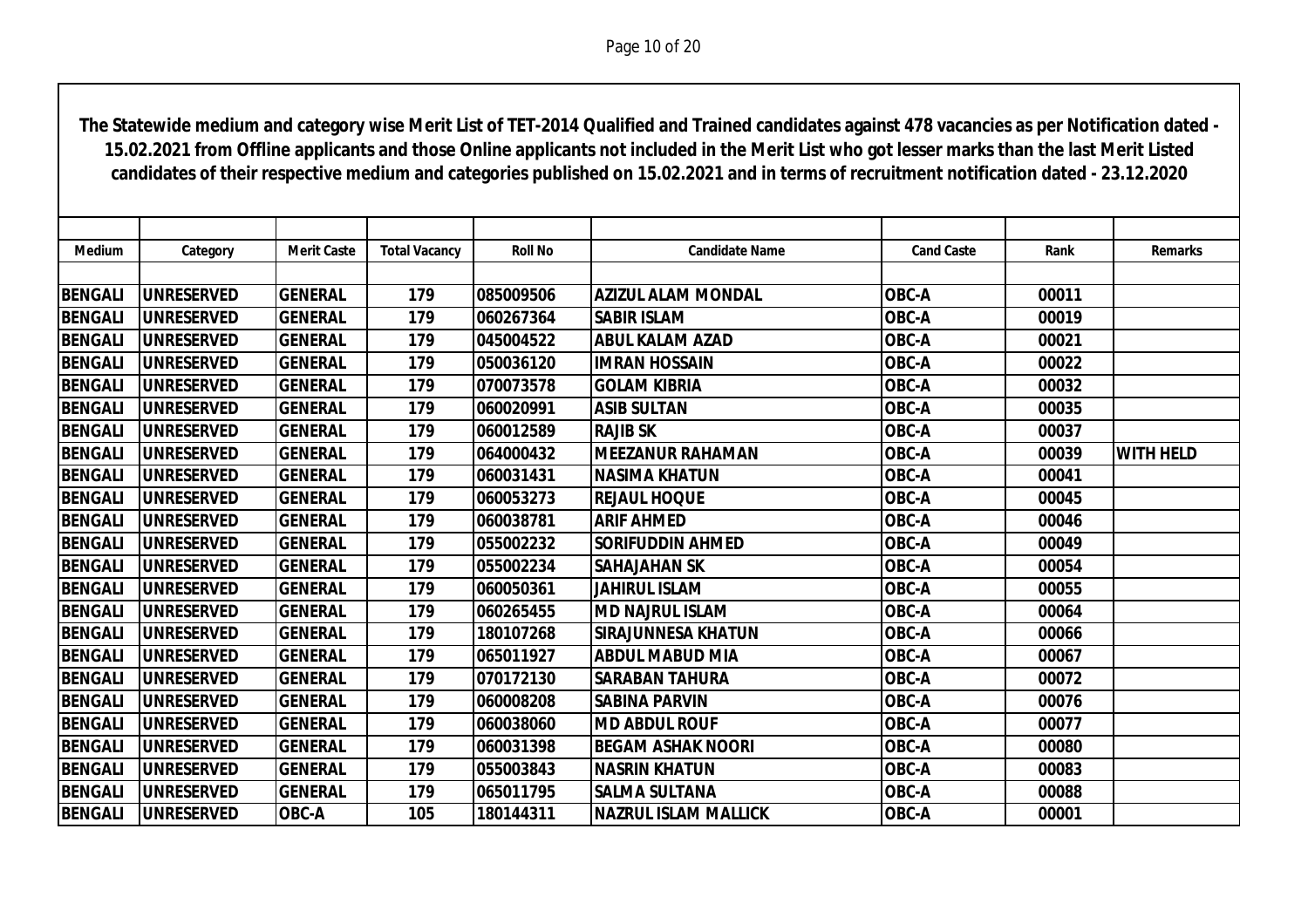| <b>Medium</b>  | Category          | <b>Merit Caste</b> | <b>Total Vacancy</b> | <b>Roll No</b> | <b>Candidate Name</b>       | <b>Cand Caste</b> | Rank  | <b>Remarks</b>   |
|----------------|-------------------|--------------------|----------------------|----------------|-----------------------------|-------------------|-------|------------------|
|                |                   |                    |                      |                |                             |                   |       |                  |
| <b>BENGALI</b> | <b>UNRESERVED</b> | <b>GENERAL</b>     | 179                  | 085009506      | <b>AZIZUL ALAM MONDAL</b>   | OBC-A             | 00011 |                  |
| <b>BENGALI</b> | <b>UNRESERVED</b> | <b>GENERAL</b>     | 179                  | 060267364      | <b>SABIR ISLAM</b>          | OBC-A             | 00019 |                  |
| <b>BENGALI</b> | <b>UNRESERVED</b> | <b>GENERAL</b>     | 179                  | 045004522      | <b>ABUL KALAM AZAD</b>      | OBC-A             | 00021 |                  |
| <b>BENGALI</b> | <b>UNRESERVED</b> | <b>GENERAL</b>     | 179                  | 050036120      | <b>IMRAN HOSSAIN</b>        | OBC-A             | 00022 |                  |
| <b>BENGALI</b> | <b>UNRESERVED</b> | <b>GENERAL</b>     | 179                  | 070073578      | <b>GOLAM KIBRIA</b>         | OBC-A             | 00032 |                  |
| <b>BENGALI</b> | <b>UNRESERVED</b> | <b>GENERAL</b>     | 179                  | 060020991      | <b>ASIB SULTAN</b>          | OBC-A             | 00035 |                  |
| <b>BENGALI</b> | <b>UNRESERVED</b> | <b>GENERAL</b>     | 179                  | 060012589      | <b>RAJIB SK</b>             | OBC-A             | 00037 |                  |
| <b>BENGALI</b> | <b>UNRESERVED</b> | <b>GENERAL</b>     | 179                  | 064000432      | <b>MEEZANUR RAHAMAN</b>     | OBC-A             | 00039 | <b>WITH HELD</b> |
| <b>BENGALI</b> | <b>UNRESERVED</b> | <b>GENERAL</b>     | 179                  | 060031431      | <b>NASIMA KHATUN</b>        | OBC-A             | 00041 |                  |
| <b>BENGALI</b> | <b>UNRESERVED</b> | <b>GENERAL</b>     | 179                  | 060053273      | <b>REJAUL HOQUE</b>         | OBC-A             | 00045 |                  |
| <b>BENGALI</b> | <b>UNRESERVED</b> | <b>GENERAL</b>     | 179                  | 060038781      | <b>ARIF AHMED</b>           | OBC-A             | 00046 |                  |
| <b>BENGALI</b> | <b>UNRESERVED</b> | <b>GENERAL</b>     | 179                  | 055002232      | <b>SORIFUDDIN AHMED</b>     | OBC-A             | 00049 |                  |
| <b>BENGALI</b> | <b>UNRESERVED</b> | <b>GENERAL</b>     | 179                  | 055002234      | <b>SAHAJAHAN SK</b>         | OBC-A             | 00054 |                  |
| <b>BENGALI</b> | <b>UNRESERVED</b> | <b>GENERAL</b>     | 179                  | 060050361      | <b>JAHIRUL ISLAM</b>        | OBC-A             | 00055 |                  |
| <b>BENGALI</b> | <b>UNRESERVED</b> | <b>GENERAL</b>     | 179                  | 060265455      | <b>MD NAJRUL ISLAM</b>      | OBC-A             | 00064 |                  |
| <b>BENGALI</b> | <b>UNRESERVED</b> | <b>GENERAL</b>     | 179                  | 180107268      | <b>SIRAJUNNESA KHATUN</b>   | OBC-A             | 00066 |                  |
| <b>BENGALI</b> | <b>UNRESERVED</b> | <b>GENERAL</b>     | 179                  | 065011927      | <b>ABDUL MABUD MIA</b>      | OBC-A             | 00067 |                  |
| <b>BENGALI</b> | <b>UNRESERVED</b> | <b>GENERAL</b>     | 179                  | 070172130      | <b>SARABAN TAHURA</b>       | OBC-A             | 00072 |                  |
| <b>BENGALI</b> | <b>UNRESERVED</b> | <b>GENERAL</b>     | 179                  | 060008208      | <b>SABINA PARVIN</b>        | OBC-A             | 00076 |                  |
| <b>BENGALI</b> | <b>UNRESERVED</b> | <b>GENERAL</b>     | 179                  | 060038060      | <b>MD ABDUL ROUF</b>        | OBC-A             | 00077 |                  |
| <b>BENGALI</b> | <b>UNRESERVED</b> | <b>GENERAL</b>     | 179                  | 060031398      | <b>BEGAM ASHAK NOORI</b>    | OBC-A             | 00080 |                  |
| <b>BENGALI</b> | <b>UNRESERVED</b> | <b>GENERAL</b>     | 179                  | 055003843      | <b>NASRIN KHATUN</b>        | OBC-A             | 00083 |                  |
| <b>BENGALI</b> | <b>UNRESERVED</b> | <b>GENERAL</b>     | 179                  | 065011795      | <b>SALMA SULTANA</b>        | OBC-A             | 00088 |                  |
| <b>BENGALI</b> | <b>UNRESERVED</b> | <b>OBC-A</b>       | 105                  | 180144311      | <b>NAZRUL ISLAM MALLICK</b> | OBC-A             | 00001 |                  |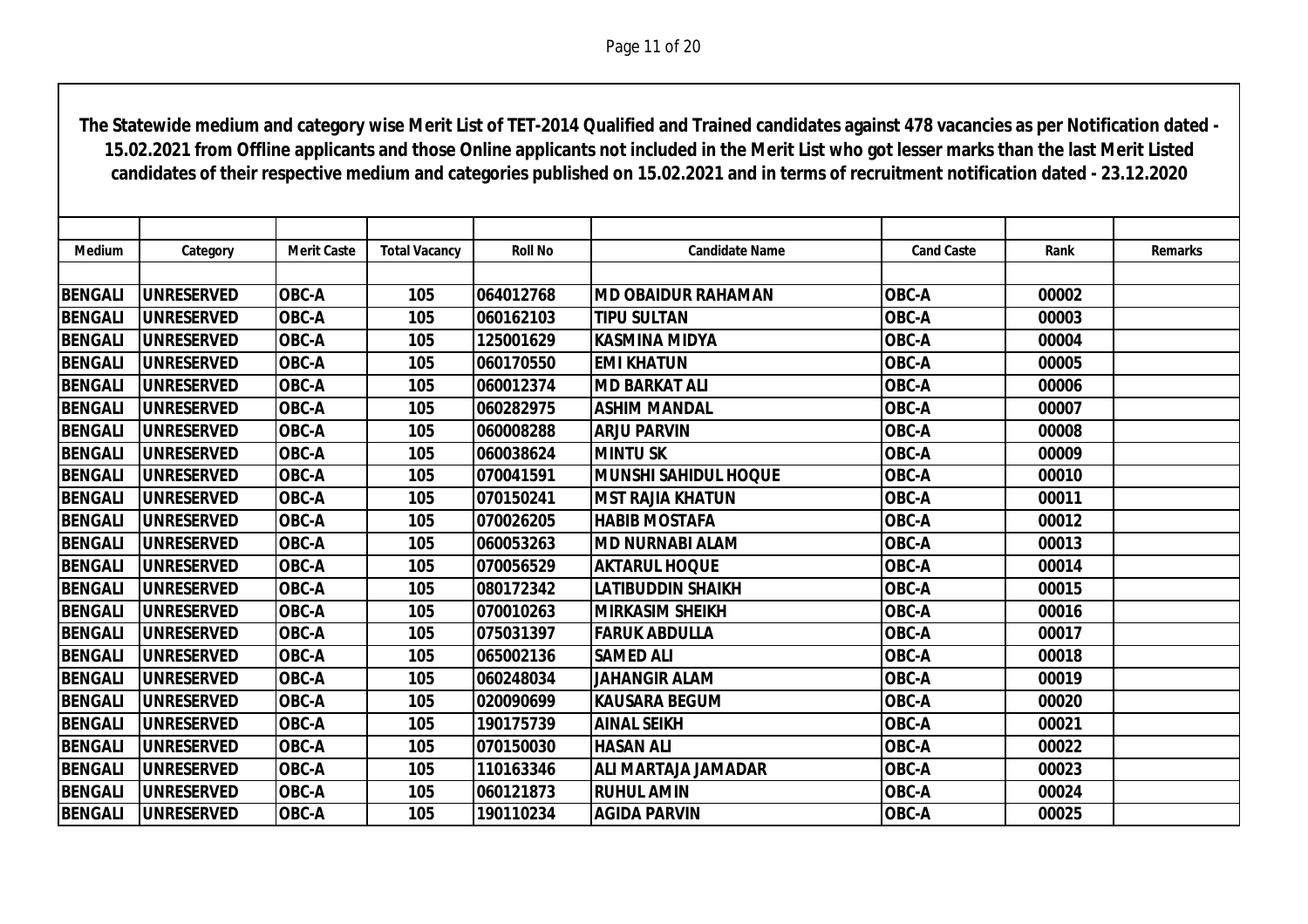| Medium         | Category          | <b>Merit Caste</b> | <b>Total Vacancy</b> | <b>Roll No</b> | <b>Candidate Name</b>       | <b>Cand Caste</b> | Rank  | <b>Remarks</b> |
|----------------|-------------------|--------------------|----------------------|----------------|-----------------------------|-------------------|-------|----------------|
|                |                   |                    |                      |                |                             |                   |       |                |
| <b>BENGALI</b> | <b>UNRESERVED</b> | <b>OBC-A</b>       | 105                  | 064012768      | <b>MD OBAIDUR RAHAMAN</b>   | OBC-A             | 00002 |                |
| <b>BENGALI</b> | <b>UNRESERVED</b> | OBC-A              | 105                  | 060162103      | <b>TIPU SULTAN</b>          | OBC-A             | 00003 |                |
| <b>BENGALI</b> | <b>UNRESERVED</b> | OBC-A              | 105                  | 125001629      | KASMINA MIDYA               | OBC-A             | 00004 |                |
| <b>BENGALI</b> | <b>UNRESERVED</b> | <b>OBC-A</b>       | 105                  | 060170550      | <b>EMI KHATUN</b>           | OBC-A             | 00005 |                |
| <b>BENGALI</b> | <b>UNRESERVED</b> | OBC-A              | 105                  | 060012374      | <b>MD BARKAT ALI</b>        | OBC-A             | 00006 |                |
| <b>BENGALI</b> | <b>UNRESERVED</b> | <b>OBC-A</b>       | 105                  | 060282975      | <b>ASHIM MANDAL</b>         | OBC-A             | 00007 |                |
| <b>BENGALI</b> | <b>UNRESERVED</b> | <b>OBC-A</b>       | 105                  | 060008288      | <b>ARJU PARVIN</b>          | OBC-A             | 00008 |                |
| <b>BENGALI</b> | <b>UNRESERVED</b> | <b>OBC-A</b>       | 105                  | 060038624      | <b>MINTU SK</b>             | OBC-A             | 00009 |                |
| <b>BENGALI</b> | <b>UNRESERVED</b> | OBC-A              | 105                  | 070041591      | <b>MUNSHI SAHIDUL HOQUE</b> | OBC-A             | 00010 |                |
| <b>BENGALI</b> | <b>UNRESERVED</b> | OBC-A              | 105                  | 070150241      | <b>MST RAJIA KHATUN</b>     | OBC-A             | 00011 |                |
| <b>BENGALI</b> | <b>UNRESERVED</b> | OBC-A              | 105                  | 070026205      | <b>HABIB MOSTAFA</b>        | OBC-A             | 00012 |                |
| <b>BENGALI</b> | <b>UNRESERVED</b> | <b>OBC-A</b>       | 105                  | 060053263      | <b>MD NURNABI ALAM</b>      | OBC-A             | 00013 |                |
| <b>BENGALI</b> | <b>UNRESERVED</b> | <b>OBC-A</b>       | 105                  | 070056529      | <b>AKTARUL HOQUE</b>        | OBC-A             | 00014 |                |
| <b>BENGALI</b> | <b>UNRESERVED</b> | <b>OBC-A</b>       | 105                  | 080172342      | LATIBUDDIN SHAIKH           | OBC-A             | 00015 |                |
| <b>BENGALI</b> | <b>UNRESERVED</b> | OBC-A              | 105                  | 070010263      | <b>MIRKASIM SHEIKH</b>      | OBC-A             | 00016 |                |
| <b>BENGALI</b> | <b>UNRESERVED</b> | <b>OBC-A</b>       | 105                  | 075031397      | <b>FARUK ABDULLA</b>        | OBC-A             | 00017 |                |
| <b>BENGALI</b> | <b>UNRESERVED</b> | OBC-A              | 105                  | 065002136      | <b>SAMED ALI</b>            | OBC-A             | 00018 |                |
| <b>BENGALI</b> | <b>UNRESERVED</b> | <b>OBC-A</b>       | 105                  | 060248034      | <b>JAHANGIR ALAM</b>        | OBC-A             | 00019 |                |
| <b>BENGALI</b> | <b>UNRESERVED</b> | OBC-A              | 105                  | 020090699      | <b>KAUSARA BEGUM</b>        | <b>OBC-A</b>      | 00020 |                |
| <b>BENGALI</b> | <b>UNRESERVED</b> | <b>OBC-A</b>       | 105                  | 190175739      | <b>AINAL SEIKH</b>          | OBC-A             | 00021 |                |
| <b>BENGALI</b> | <b>UNRESERVED</b> | OBC-A              | 105                  | 070150030      | <b>HASAN ALI</b>            | OBC-A             | 00022 |                |
| <b>BENGALI</b> | <b>UNRESERVED</b> | <b>OBC-A</b>       | 105                  | 110163346      | <b>ALI MARTAJA JAMADAR</b>  | OBC-A             | 00023 |                |
| <b>BENGALI</b> | <b>UNRESERVED</b> | <b>OBC-A</b>       | 105                  | 060121873      | <b>RUHUL AMIN</b>           | OBC-A             | 00024 |                |
| <b>BENGALI</b> | <b>UNRESERVED</b> | <b>OBC-A</b>       | 105                  | 190110234      | <b>AGIDA PARVIN</b>         | OBC-A             | 00025 |                |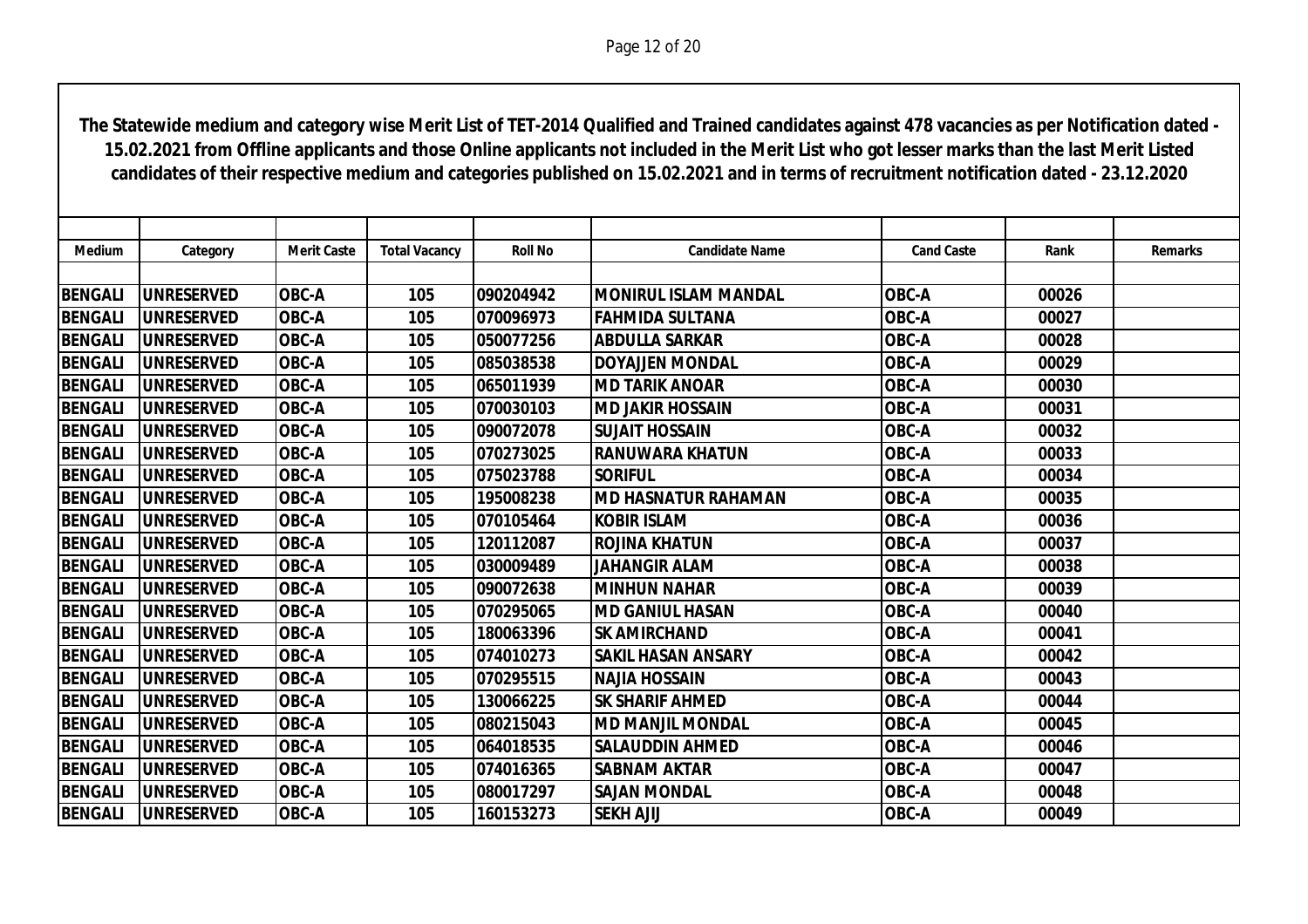| <b>Medium</b>  | Category           | <b>Merit Caste</b> | <b>Total Vacancy</b> | <b>Roll No</b> | <b>Candidate Name</b>       | <b>Cand Caste</b> | Rank  | <b>Remarks</b> |
|----------------|--------------------|--------------------|----------------------|----------------|-----------------------------|-------------------|-------|----------------|
|                |                    |                    |                      |                |                             |                   |       |                |
| <b>BENGALI</b> | <b>UNRESERVED</b>  | OBC-A              | 105                  | 090204942      | <b>MONIRUL ISLAM MANDAL</b> | <b>OBC-A</b>      | 00026 |                |
| <b>BENGALI</b> | <b>UNRESERVED</b>  | OBC-A              | 105                  | 070096973      | <b>FAHMIDA SULTANA</b>      | <b>OBC-A</b>      | 00027 |                |
| <b>BENGALI</b> | <b>UNRESERVED</b>  | OBC-A              | 105                  | 050077256      | <b>ABDULLA SARKAR</b>       | OBC-A             | 00028 |                |
| <b>BENGALI</b> | <b>UNRESERVED</b>  | <b>OBC-A</b>       | 105                  | 085038538      | <b>DOYAJJEN MONDAL</b>      | <b>OBC-A</b>      | 00029 |                |
| <b>BENGALI</b> | <b>UNRESERVED</b>  | OBC-A              | 105                  | 065011939      | <b>MD TARIK ANOAR</b>       | <b>OBC-A</b>      | 00030 |                |
| <b>BENGALI</b> | <b>UNRESERVED</b>  | OBC-A              | 105                  | 070030103      | <b>MD JAKIR HOSSAIN</b>     | <b>OBC-A</b>      | 00031 |                |
| <b>BENGALI</b> | <b>UNRESERVED</b>  | OBC-A              | 105                  | 090072078      | <b>SUJAIT HOSSAIN</b>       | OBC-A             | 00032 |                |
| <b>BENGALI</b> | <b>IUNRESERVED</b> | <b>OBC-A</b>       | 105                  | 070273025      | <b>RANUWARA KHATUN</b>      | OBC-A             | 00033 |                |
| <b>BENGALI</b> | <b>IUNRESERVED</b> | OBC-A              | 105                  | 075023788      | <b>SORIFUL</b>              | <b>OBC-A</b>      | 00034 |                |
| <b>BENGALI</b> | <b>UNRESERVED</b>  | OBC-A              | 105                  | 195008238      | <b>MD HASNATUR RAHAMAN</b>  | OBC-A             | 00035 |                |
| <b>BENGALI</b> | <b>UNRESERVED</b>  | OBC-A              | 105                  | 070105464      | <b>KOBIR ISLAM</b>          | OBC-A             | 00036 |                |
| <b>BENGALI</b> | <b>UNRESERVED</b>  | <b>OBC-A</b>       | 105                  | 120112087      | <b>ROJINA KHATUN</b>        | OBC-A             | 00037 |                |
| <b>BENGALI</b> | <b>UNRESERVED</b>  | OBC-A              | 105                  | 030009489      | <b>JAHANGIR ALAM</b>        | <b>OBC-A</b>      | 00038 |                |
| <b>BENGALI</b> | <b>UNRESERVED</b>  | OBC-A              | 105                  | 090072638      | <b>MINHUN NAHAR</b>         | <b>OBC-A</b>      | 00039 |                |
| <b>BENGALI</b> | <b>UNRESERVED</b>  | <b>OBC-A</b>       | 105                  | 070295065      | <b>MD GANIUL HASAN</b>      | OBC-A             | 00040 |                |
| <b>BENGALI</b> | <b>IUNRESERVED</b> | <b>OBC-A</b>       | 105                  | 180063396      | <b>SK AMIRCHAND</b>         | OBC-A             | 00041 |                |
| <b>BENGALI</b> | <b>UNRESERVED</b>  | OBC-A              | 105                  | 074010273      | <b>SAKIL HASAN ANSARY</b>   | <b>OBC-A</b>      | 00042 |                |
| <b>BENGALI</b> | <b>UNRESERVED</b>  | <b>OBC-A</b>       | 105                  | 070295515      | <b>NAJIA HOSSAIN</b>        | OBC-A             | 00043 |                |
| <b>BENGALI</b> | <b>UNRESERVED</b>  | OBC-A              | 105                  | 130066225      | <b>SK SHARIF AHMED</b>      | OBC-A             | 00044 |                |
| <b>BENGALI</b> | <b>UNRESERVED</b>  | <b>OBC-A</b>       | 105                  | 080215043      | <b>MD MANJIL MONDAL</b>     | <b>OBC-A</b>      | 00045 |                |
| <b>BENGALI</b> | <b>UNRESERVED</b>  | OBC-A              | 105                  | 064018535      | <b>SALAUDDIN AHMED</b>      | <b>OBC-A</b>      | 00046 |                |
| <b>BENGALI</b> | <b>UNRESERVED</b>  | OBC-A              | 105                  | 074016365      | <b>SABNAM AKTAR</b>         | OBC-A             | 00047 |                |
| <b>BENGALI</b> | <b>UNRESERVED</b>  | <b>OBC-A</b>       | 105                  | 080017297      | <b>SAJAN MONDAL</b>         | OBC-A             | 00048 |                |
| <b>BENGALI</b> | <b>UNRESERVED</b>  | <b>OBC-A</b>       | 105                  | 160153273      | <b>SEKH AJIJ</b>            | OBC-A             | 00049 |                |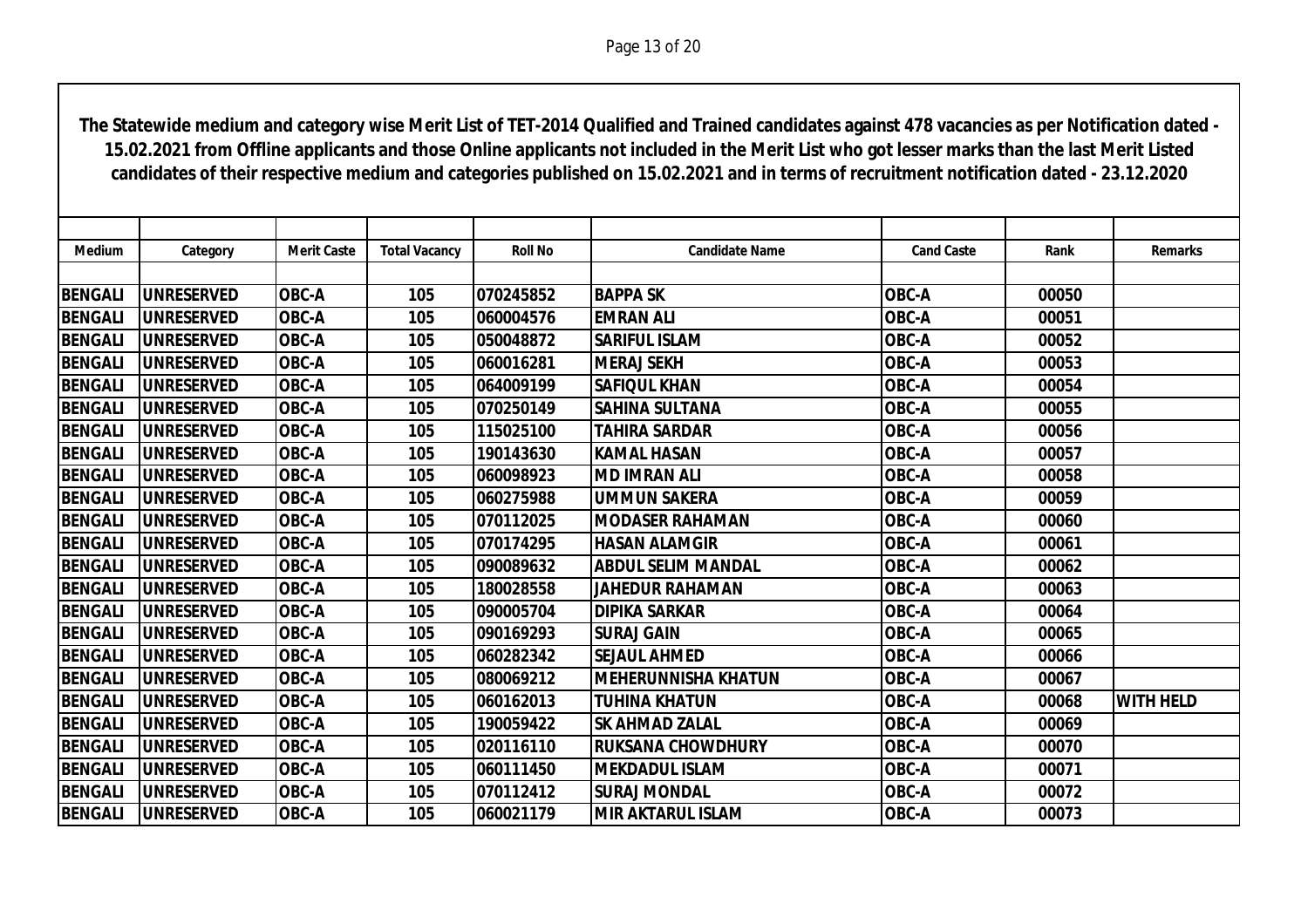| <b>Medium</b>  | Category           | <b>Merit Caste</b> | <b>Total Vacancy</b> | <b>Roll No</b> | <b>Candidate Name</b>      | <b>Cand Caste</b> | Rank  | <b>Remarks</b>   |
|----------------|--------------------|--------------------|----------------------|----------------|----------------------------|-------------------|-------|------------------|
|                |                    |                    |                      |                |                            |                   |       |                  |
| <b>BENGALI</b> | <b>UNRESERVED</b>  | OBC-A              | 105                  | 070245852      | <b>BAPPA SK</b>            | OBC-A             | 00050 |                  |
| <b>BENGALI</b> | <b>UNRESERVED</b>  | OBC-A              | 105                  | 060004576      | <b>EMRAN ALI</b>           | OBC-A             | 00051 |                  |
| <b>BENGALI</b> | <b>UNRESERVED</b>  | OBC-A              | 105                  | 050048872      | <b>SARIFUL ISLAM</b>       | OBC-A             | 00052 |                  |
| <b>BENGALI</b> | <b>UNRESERVED</b>  | <b>OBC-A</b>       | 105                  | 060016281      | <b>MERAJ SEKH</b>          | <b>OBC-A</b>      | 00053 |                  |
| <b>BENGALI</b> | <b>UNRESERVED</b>  | OBC-A              | 105                  | 064009199      | <b>SAFIQUL KHAN</b>        | <b>OBC-A</b>      | 00054 |                  |
| <b>BENGALI</b> | <b>UNRESERVED</b>  | OBC-A              | 105                  | 070250149      | <b>SAHINA SULTANA</b>      | <b>OBC-A</b>      | 00055 |                  |
| <b>BENGALI</b> | <b>UNRESERVED</b>  | <b>OBC-A</b>       | 105                  | 115025100      | <b>TAHIRA SARDAR</b>       | OBC-A             | 00056 |                  |
| <b>BENGALI</b> | <b>IUNRESERVED</b> | <b>OBC-A</b>       | 105                  | 190143630      | <b>KAMAL HASAN</b>         | OBC-A             | 00057 |                  |
| <b>BENGALI</b> | <b>IUNRESERVED</b> | OBC-A              | 105                  | 060098923      | <b>MD IMRAN ALI</b>        | <b>OBC-A</b>      | 00058 |                  |
| <b>BENGALI</b> | <b>UNRESERVED</b>  | OBC-A              | 105                  | 060275988      | <b>UMMUN SAKERA</b>        | <b>OBC-A</b>      | 00059 |                  |
| <b>BENGALI</b> | <b>UNRESERVED</b>  | OBC-A              | 105                  | 070112025      | <b>MODASER RAHAMAN</b>     | OBC-A             | 00060 |                  |
| <b>BENGALI</b> | <b>UNRESERVED</b>  | <b>OBC-A</b>       | 105                  | 070174295      | <b>HASAN ALAMGIR</b>       | <b>OBC-A</b>      | 00061 |                  |
| <b>BENGALI</b> | <b>UNRESERVED</b>  | OBC-A              | 105                  | 090089632      | <b>ABDUL SELIM MANDAL</b>  | <b>OBC-A</b>      | 00062 |                  |
| <b>BENGALI</b> | <b>UNRESERVED</b>  | <b>OBC-A</b>       | 105                  | 180028558      | <b>JAHEDUR RAHAMAN</b>     | OBC-A             | 00063 |                  |
| <b>BENGALI</b> | <b>UNRESERVED</b>  | OBC-A              | 105                  | 090005704      | <b>DIPIKA SARKAR</b>       | OBC-A             | 00064 |                  |
| <b>BENGALI</b> | <b>UNRESERVED</b>  | <b>OBC-A</b>       | 105                  | 090169293      | <b>SURAJ GAIN</b>          | OBC-A             | 00065 |                  |
| <b>BENGALI</b> | <b>UNRESERVED</b>  | OBC-A              | 105                  | 060282342      | <b>SEJAUL AHMED</b>        | OBC-A             | 00066 |                  |
| <b>BENGALI</b> | <b>UNRESERVED</b>  | OBC-A              | 105                  | 080069212      | <b>MEHERUNNISHA KHATUN</b> | OBC-A             | 00067 |                  |
| <b>BENGALI</b> | <b>UNRESERVED</b>  | OBC-A              | 105                  | 060162013      | <b>TUHINA KHATUN</b>       | <b>OBC-A</b>      | 00068 | <b>WITH HELD</b> |
| <b>BENGALI</b> | <b>UNRESERVED</b>  | OBC-A              | 105                  | 190059422      | <b>SK AHMAD ZALAL</b>      | <b>OBC-A</b>      | 00069 |                  |
| <b>BENGALI</b> | <b>UNRESERVED</b>  | OBC-A              | 105                  | 020116110      | <b>RUKSANA CHOWDHURY</b>   | <b>OBC-A</b>      | 00070 |                  |
| <b>BENGALI</b> | <b>UNRESERVED</b>  | OBC-A              | 105                  | 060111450      | <b>MEKDADUL ISLAM</b>      | OBC-A             | 00071 |                  |
| <b>BENGALI</b> | <b>UNRESERVED</b>  | OBC-A              | 105                  | 070112412      | <b>SURAJ MONDAL</b>        | OBC-A             | 00072 |                  |
| <b>BENGALI</b> | <b>UNRESERVED</b>  | <b>OBC-A</b>       | 105                  | 060021179      | <b>MIR AKTARUL ISLAM</b>   | OBC-A             | 00073 |                  |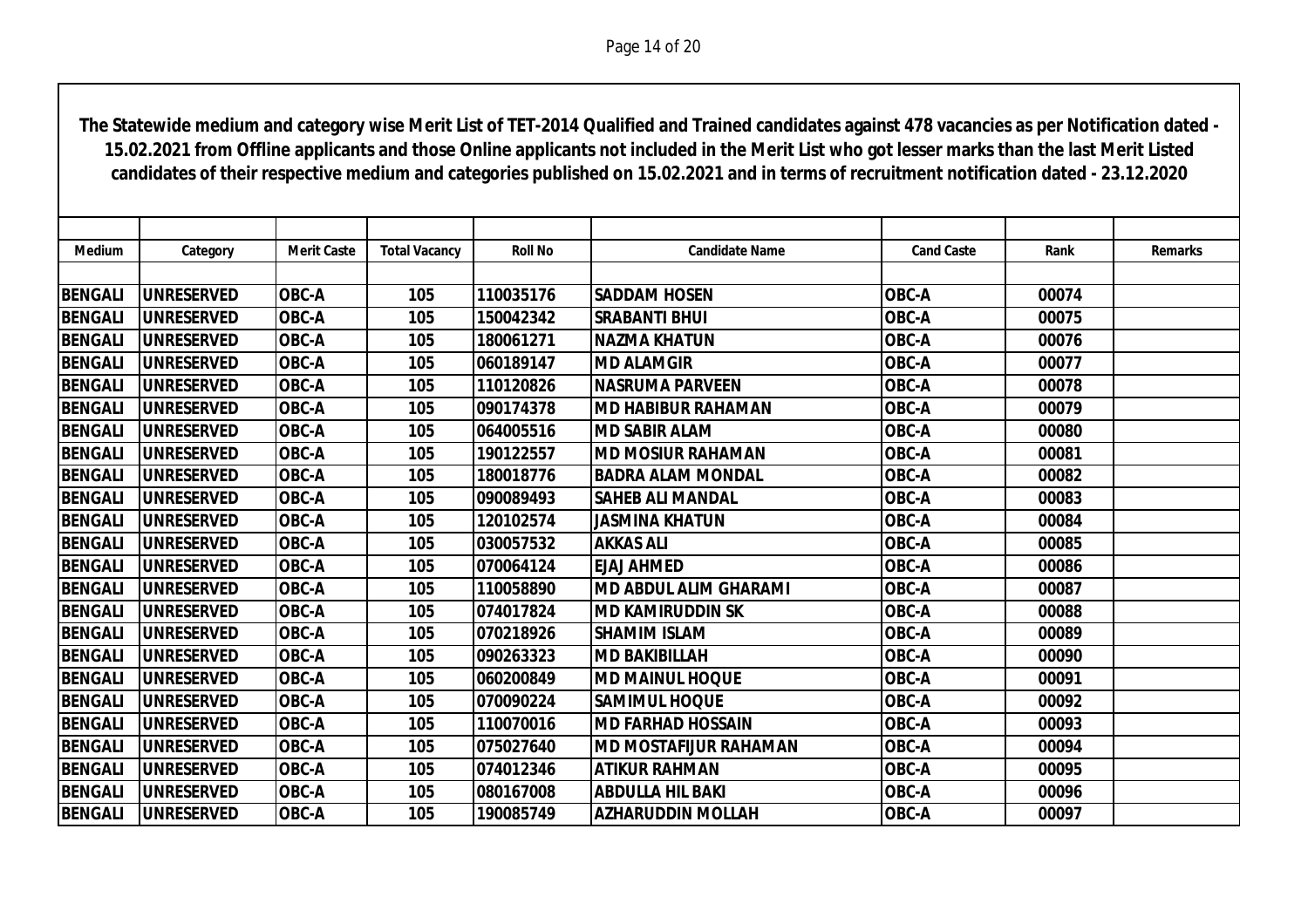| <b>Medium</b>  | Category          | <b>Merit Caste</b> | <b>Total Vacancy</b> | <b>Roll No</b> | <b>Candidate Name</b>     | <b>Cand Caste</b> | Rank  | <b>Remarks</b> |
|----------------|-------------------|--------------------|----------------------|----------------|---------------------------|-------------------|-------|----------------|
|                |                   |                    |                      |                |                           |                   |       |                |
| <b>BENGALI</b> | <b>UNRESERVED</b> | <b>OBC-A</b>       | 105                  | 110035176      | <b>SADDAM HOSEN</b>       | <b>OBC-A</b>      | 00074 |                |
| <b>BENGALI</b> | <b>UNRESERVED</b> | OBC-A              | 105                  | 150042342      | <b>SRABANTI BHUI</b>      | OBC-A             | 00075 |                |
| <b>BENGALI</b> | <b>UNRESERVED</b> | <b>OBC-A</b>       | 105                  | 180061271      | INAZMA KHATUN             | OBC-A             | 00076 |                |
| <b>BENGALI</b> | <b>UNRESERVED</b> | <b>OBC-A</b>       | 105                  | 060189147      | <b>MD ALAMGIR</b>         | OBC-A             | 00077 |                |
| <b>BENGALI</b> | <b>UNRESERVED</b> | <b>OBC-A</b>       | 105                  | 110120826      | <b>NASRUMA PARVEEN</b>    | <b>OBC-A</b>      | 00078 |                |
| <b>BENGALI</b> | <b>UNRESERVED</b> | <b>OBC-A</b>       | 105                  | 090174378      | IMD HABIBUR RAHAMAN       | OBC-A             | 00079 |                |
| <b>BENGALI</b> | <b>UNRESERVED</b> | <b>OBC-A</b>       | 105                  | 064005516      | <b>MD SABIR ALAM</b>      | OBC-A             | 00080 |                |
| <b>BENGALI</b> | <b>UNRESERVED</b> | <b>OBC-A</b>       | 105                  | 190122557      | IMD MOSIUR RAHAMAN        | OBC-A             | 00081 |                |
| <b>BENGALI</b> | <b>UNRESERVED</b> | <b>OBC-A</b>       | 105                  | 180018776      | <b>BADRA ALAM MONDAL</b>  | <b>OBC-A</b>      | 00082 |                |
| <b>BENGALI</b> | <b>UNRESERVED</b> | <b>OBC-A</b>       | 105                  | 090089493      | <b>SAHEB ALI MANDAL</b>   | OBC-A             | 00083 |                |
| <b>BENGALI</b> | <b>UNRESERVED</b> | <b>OBC-A</b>       | 105                  | 120102574      | <b>JASMINA KHATUN</b>     | OBC-A             | 00084 |                |
| <b>BENGALI</b> | <b>UNRESERVED</b> | <b>OBC-A</b>       | 105                  | 030057532      | <b>AKKAS ALI</b>          | OBC-A             | 00085 |                |
| <b>BENGALI</b> | <b>UNRESERVED</b> | OBC-A              | 105                  | 070064124      | <b>EJAJ AHMED</b>         | <b>OBC-A</b>      | 00086 |                |
| <b>BENGALI</b> | <b>UNRESERVED</b> | <b>OBC-A</b>       | 105                  | 110058890      | IMD ABDUL ALIM GHARAMI    | OBC-A             | 00087 |                |
| <b>BENGALI</b> | <b>UNRESERVED</b> | OBC-A              | 105                  | 074017824      | İMD KAMIRUDDIN SK         | OBC-A             | 00088 |                |
| <b>BENGALI</b> | <b>UNRESERVED</b> | <b>OBC-A</b>       | 105                  | 070218926      | <b>SHAMIM ISLAM</b>       | OBC-A             | 00089 |                |
| <b>BENGALI</b> | <b>UNRESERVED</b> | <b>OBC-A</b>       | 105                  | 090263323      | <b>MD BAKIBILLAH</b>      | OBC-A             | 00090 |                |
| <b>BENGALI</b> | <b>UNRESERVED</b> | <b>OBC-A</b>       | 105                  | 060200849      | <b>IMD MAINUL HOQUE</b>   | OBC-A             | 00091 |                |
| <b>BENGALI</b> | <b>UNRESERVED</b> | OBC-A              | 105                  | 070090224      | <b>SAMIMUL HOQUE</b>      | OBC-A             | 00092 |                |
| <b>BENGALI</b> | <b>UNRESERVED</b> | <b>OBC-A</b>       | 105                  | 110070016      | <b>IMD FARHAD HOSSAIN</b> | OBC-A             | 00093 |                |
| <b>BENGALI</b> | <b>UNRESERVED</b> | OBC-A              | 105                  | 075027640      | IMD MOSTAFIJUR RAHAMAN    | <b>OBC-A</b>      | 00094 |                |
| <b>BENGALI</b> | <b>UNRESERVED</b> | <b>OBC-A</b>       | 105                  | 074012346      | <b>ATIKUR RAHMAN</b>      | OBC-A             | 00095 |                |
| <b>BENGALI</b> | <b>UNRESERVED</b> | OBC-A              | 105                  | 080167008      | <b>ABDULLA HIL BAKI</b>   | OBC-A             | 00096 |                |
| <b>BENGALI</b> | <b>UNRESERVED</b> | <b>OBC-A</b>       | 105                  | 190085749      | <b>AZHARUDDIN MOLLAH</b>  | <b>OBC-A</b>      | 00097 |                |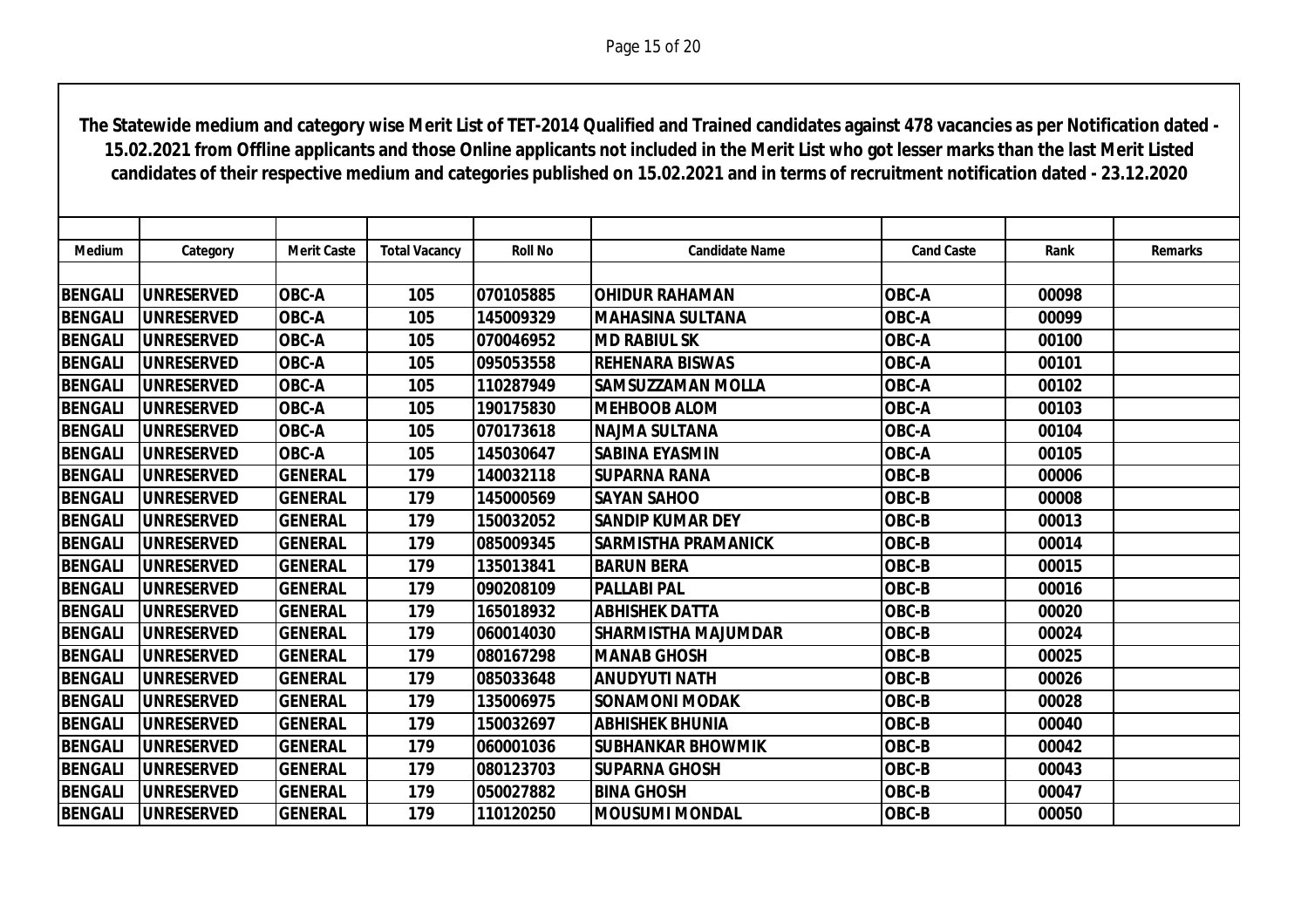| Medium         | Category           | <b>Merit Caste</b> | <b>Total Vacancy</b> | <b>Roll No</b> | <b>Candidate Name</b>      | <b>Cand Caste</b> | Rank  | <b>Remarks</b> |
|----------------|--------------------|--------------------|----------------------|----------------|----------------------------|-------------------|-------|----------------|
|                |                    |                    |                      |                |                            |                   |       |                |
| <b>BENGALI</b> | <b>UNRESERVED</b>  | <b>OBC-A</b>       | 105                  | 070105885      | <b>OHIDUR RAHAMAN</b>      | <b>OBC-A</b>      | 00098 |                |
| <b>BENGALI</b> | <b>UNRESERVED</b>  | <b>OBC-A</b>       | 105                  | 145009329      | <b>MAHASINA SULTANA</b>    | OBC-A             | 00099 |                |
| <b>BENGALI</b> | <b>UNRESERVED</b>  | <b>OBC-A</b>       | 105                  | 070046952      | <b>MD RABIUL SK</b>        | <b>OBC-A</b>      | 00100 |                |
| <b>BENGALI</b> | <b>UNRESERVED</b>  | <b>OBC-A</b>       | 105                  | 095053558      | <b>REHENARA BISWAS</b>     | OBC-A             | 00101 |                |
| <b>BENGALI</b> | <b>UNRESERVED</b>  | OBC-A              | 105                  | 110287949      | <b>SAMSUZZAMAN MOLLA</b>   | <b>OBC-A</b>      | 00102 |                |
| <b>BENGALI</b> | <b>UNRESERVED</b>  | <b>OBC-A</b>       | 105                  | 190175830      | <b>MEHBOOB ALOM</b>        | OBC-A             | 00103 |                |
| <b>BENGALI</b> | <b>UNRESERVED</b>  | <b>OBC-A</b>       | 105                  | 070173618      | <b>NAJMA SULTANA</b>       | <b>OBC-A</b>      | 00104 |                |
| <b>BENGALI</b> | <b>UNRESERVED</b>  | <b>OBC-A</b>       | 105                  | 145030647      | <b>SABINA EYASMIN</b>      | <b>OBC-A</b>      | 00105 |                |
| <b>BENGALI</b> | <b>UNRESERVED</b>  | <b>GENERAL</b>     | 179                  | 140032118      | <b>SUPARNA RANA</b>        | OBC-B             | 00006 |                |
| <b>BENGALI</b> | <b>UNRESERVED</b>  | <b>GENERAL</b>     | 179                  | 145000569      | <b>SAYAN SAHOO</b>         | OBC-B             | 00008 |                |
| <b>BENGALI</b> | <b>UNRESERVED</b>  | <b>GENERAL</b>     | 179                  | 150032052      | <b>SANDIP KUMAR DEY</b>    | OBC-B             | 00013 |                |
| <b>BENGALI</b> | <b>UNRESERVED</b>  | <b>GENERAL</b>     | 179                  | 085009345      | <b>SARMISTHA PRAMANICK</b> | OBC-B             | 00014 |                |
| <b>BENGALI</b> | <b>UNRESERVED</b>  | <b>GENERAL</b>     | 179                  | 135013841      | <b>BARUN BERA</b>          | OBC-B             | 00015 |                |
| <b>BENGALI</b> | <b>UNRESERVED</b>  | <b>GENERAL</b>     | 179                  | 090208109      | <b>PALLABI PAL</b>         | OBC-B             | 00016 |                |
| <b>BENGALI</b> | <b>UNRESERVED</b>  | <b>GENERAL</b>     | 179                  | 165018932      | <b>ABHISHEK DATTA</b>      | OBC-B             | 00020 |                |
| <b>BENGALI</b> | <b>IUNRESERVED</b> | <b>GENERAL</b>     | 179                  | 060014030      | <b>SHARMISTHA MAJUMDAR</b> | OBC-B             | 00024 |                |
| <b>BENGALI</b> | <b>UNRESERVED</b>  | <b>GENERAL</b>     | 179                  | 080167298      | <b>MANAB GHOSH</b>         | OBC-B             | 00025 |                |
| <b>BENGALI</b> | <b>UNRESERVED</b>  | <b>GENERAL</b>     | 179                  | 085033648      | <b>ANUDYUTI NATH</b>       | OBC-B             | 00026 |                |
| <b>BENGALI</b> | <b>UNRESERVED</b>  | <b>GENERAL</b>     | 179                  | 135006975      | <b>SONAMONI MODAK</b>      | OBC-B             | 00028 |                |
| <b>BENGALI</b> | <b>UNRESERVED</b>  | <b>GENERAL</b>     | 179                  | 150032697      | <b>ABHISHEK BHUNIA</b>     | OBC-B             | 00040 |                |
| <b>BENGALI</b> | <b>UNRESERVED</b>  | <b>GENERAL</b>     | 179                  | 060001036      | <b>SUBHANKAR BHOWMIK</b>   | OBC-B             | 00042 |                |
| <b>BENGALI</b> | <b>UNRESERVED</b>  | <b>GENERAL</b>     | 179                  | 080123703      | <b>SUPARNA GHOSH</b>       | OBC-B             | 00043 |                |
| <b>BENGALI</b> | <b>UNRESERVED</b>  | <b>GENERAL</b>     | 179                  | 050027882      | <b>BINA GHOSH</b>          | OBC-B             | 00047 |                |
| <b>BENGALI</b> | <b>UNRESERVED</b>  | <b>GENERAL</b>     | 179                  | 110120250      | <b> MOUSUMI MONDAL</b>     | OBC-B             | 00050 |                |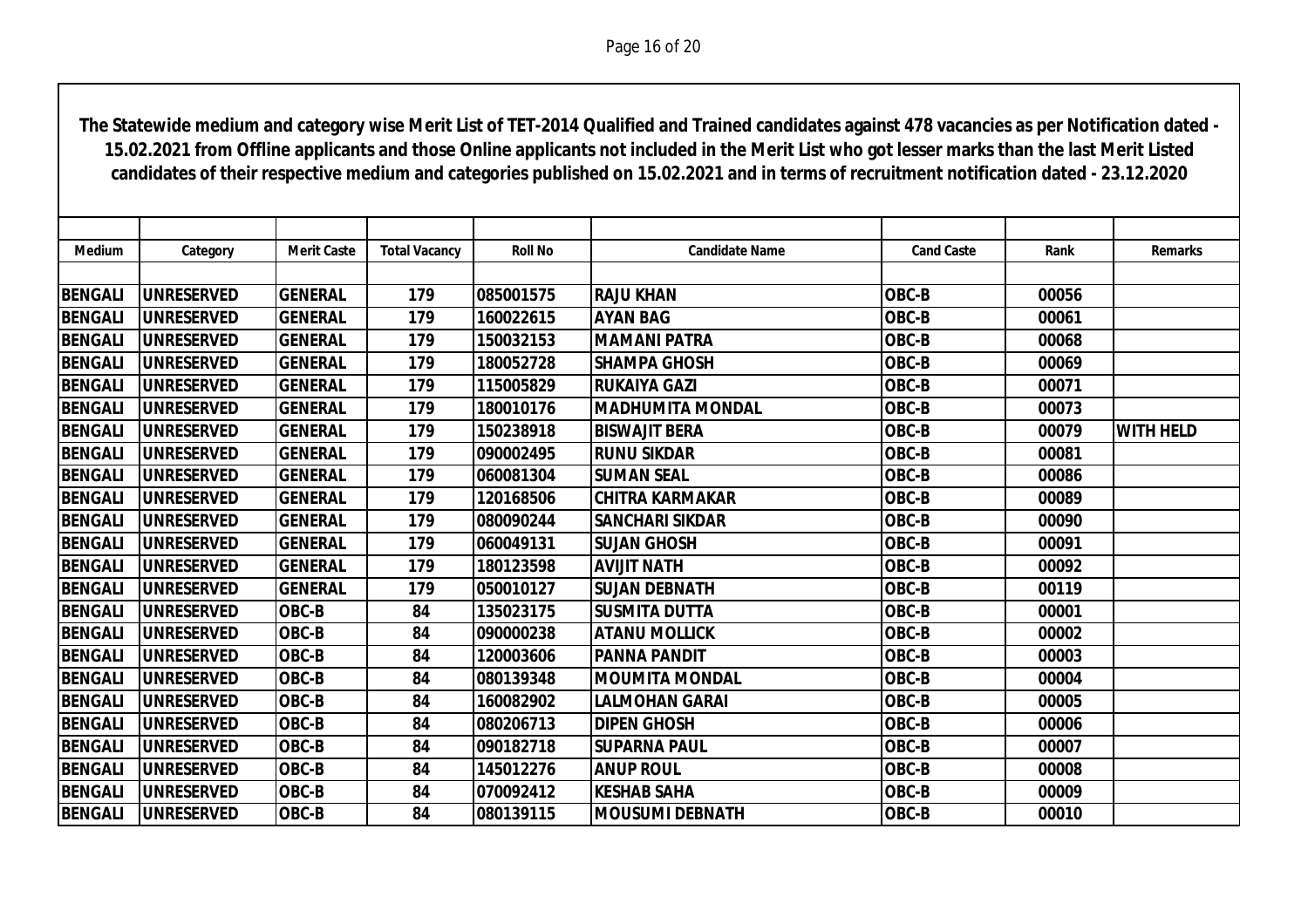| <b>Medium</b>  | Category           | <b>Merit Caste</b> | <b>Total Vacancy</b> | <b>Roll No</b> | <b>Candidate Name</b>   | <b>Cand Caste</b> | Rank  | <b>Remarks</b>   |
|----------------|--------------------|--------------------|----------------------|----------------|-------------------------|-------------------|-------|------------------|
|                |                    |                    |                      |                |                         |                   |       |                  |
| <b>BENGALI</b> | <b>UNRESERVED</b>  | <b>GENERAL</b>     | 179                  | 085001575      | <b>RAJU KHAN</b>        | OBC-B             | 00056 |                  |
| <b>BENGALI</b> | <b>UNRESERVED</b>  | <b>GENERAL</b>     | 179                  | 160022615      | <b>AYAN BAG</b>         | OBC-B             | 00061 |                  |
| <b>BENGALI</b> | <b>UNRESERVED</b>  | <b>GENERAL</b>     | 179                  | 150032153      | <b>MAMANI PATRA</b>     | OBC-B             | 00068 |                  |
| <b>BENGALI</b> | <b>UNRESERVED</b>  | <b>GENERAL</b>     | 179                  | 180052728      | <b>SHAMPA GHOSH</b>     | OBC-B             | 00069 |                  |
| <b>BENGALI</b> | <b>UNRESERVED</b>  | <b>GENERAL</b>     | 179                  | 115005829      | <b>RUKAIYA GAZI</b>     | OBC-B             | 00071 |                  |
| <b>BENGALI</b> | <b>UNRESERVED</b>  | <b>GENERAL</b>     | 179                  | 180010176      | <b>MADHUMITA MONDAL</b> | OBC-B             | 00073 |                  |
| <b>BENGALI</b> | <b>UNRESERVED</b>  | <b>GENERAL</b>     | 179                  | 150238918      | <b>BISWAJIT BERA</b>    | OBC-B             | 00079 | <b>WITH HELD</b> |
| <b>BENGALI</b> | <b>IUNRESERVED</b> | <b>GENERAL</b>     | 179                  | 090002495      | <b>RUNU SIKDAR</b>      | OBC-B             | 00081 |                  |
| <b>BENGALI</b> | <b>UNRESERVED</b>  | <b>GENERAL</b>     | 179                  | 060081304      | <b>SUMAN SEAL</b>       | OBC-B             | 00086 |                  |
| <b>BENGALI</b> | <b>UNRESERVED</b>  | <b>GENERAL</b>     | 179                  | 120168506      | <b>CHITRA KARMAKAR</b>  | OBC-B             | 00089 |                  |
| <b>BENGALI</b> | <b>UNRESERVED</b>  | <b>GENERAL</b>     | 179                  | 080090244      | <b>SANCHARI SIKDAR</b>  | OBC-B             | 00090 |                  |
| <b>BENGALI</b> | <b>UNRESERVED</b>  | <b>GENERAL</b>     | 179                  | 060049131      | <b>SUJAN GHOSH</b>      | OBC-B             | 00091 |                  |
| <b>BENGALI</b> | <b>UNRESERVED</b>  | <b>GENERAL</b>     | 179                  | 180123598      | <b>AVIJIT NATH</b>      | OBC-B             | 00092 |                  |
| <b>BENGALI</b> | <b>UNRESERVED</b>  | <b>GENERAL</b>     | 179                  | 050010127      | <b>SUJAN DEBNATH</b>    | OBC-B             | 00119 |                  |
| <b>BENGALI</b> | <b>UNRESERVED</b>  | OBC-B              | 84                   | 135023175      | <b>SUSMITA DUTTA</b>    | OBC-B             | 00001 |                  |
| <b>BENGALI</b> | <b>UNRESERVED</b>  | OBC-B              | 84                   | 090000238      | <b>ATANU MOLLICK</b>    | OBC-B             | 00002 |                  |
| <b>BENGALI</b> | <b>UNRESERVED</b>  | OBC-B              | 84                   | 120003606      | <b>PANNA PANDIT</b>     | OBC-B             | 00003 |                  |
| <b>BENGALI</b> | <b>UNRESERVED</b>  | OBC-B              | 84                   | 080139348      | <b>MOUMITA MONDAL</b>   | OBC-B             | 00004 |                  |
| <b>BENGALI</b> | <b>UNRESERVED</b>  | OBC-B              | 84                   | 160082902      | LALMOHAN GARAI          | OBC-B             | 00005 |                  |
| <b>BENGALI</b> | <b>UNRESERVED</b>  | OBC-B              | 84                   | 080206713      | <b>DIPEN GHOSH</b>      | OBC-B             | 00006 |                  |
| <b>BENGALI</b> | <b>UNRESERVED</b>  | OBC-B              | 84                   | 090182718      | <b>SUPARNA PAUL</b>     | OBC-B             | 00007 |                  |
| <b>BENGALI</b> | <b>UNRESERVED</b>  | OBC-B              | 84                   | 145012276      | <b>ANUP ROUL</b>        | OBC-B             | 00008 |                  |
| <b>BENGALI</b> | <b>UNRESERVED</b>  | OBC-B              | 84                   | 070092412      | <b>KESHAB SAHA</b>      | OBC-B             | 00009 |                  |
| <b>BENGALI</b> | <b>UNRESERVED</b>  | OBC-B              | 84                   | 080139115      | <b>MOUSUMI DEBNATH</b>  | OBC-B             | 00010 |                  |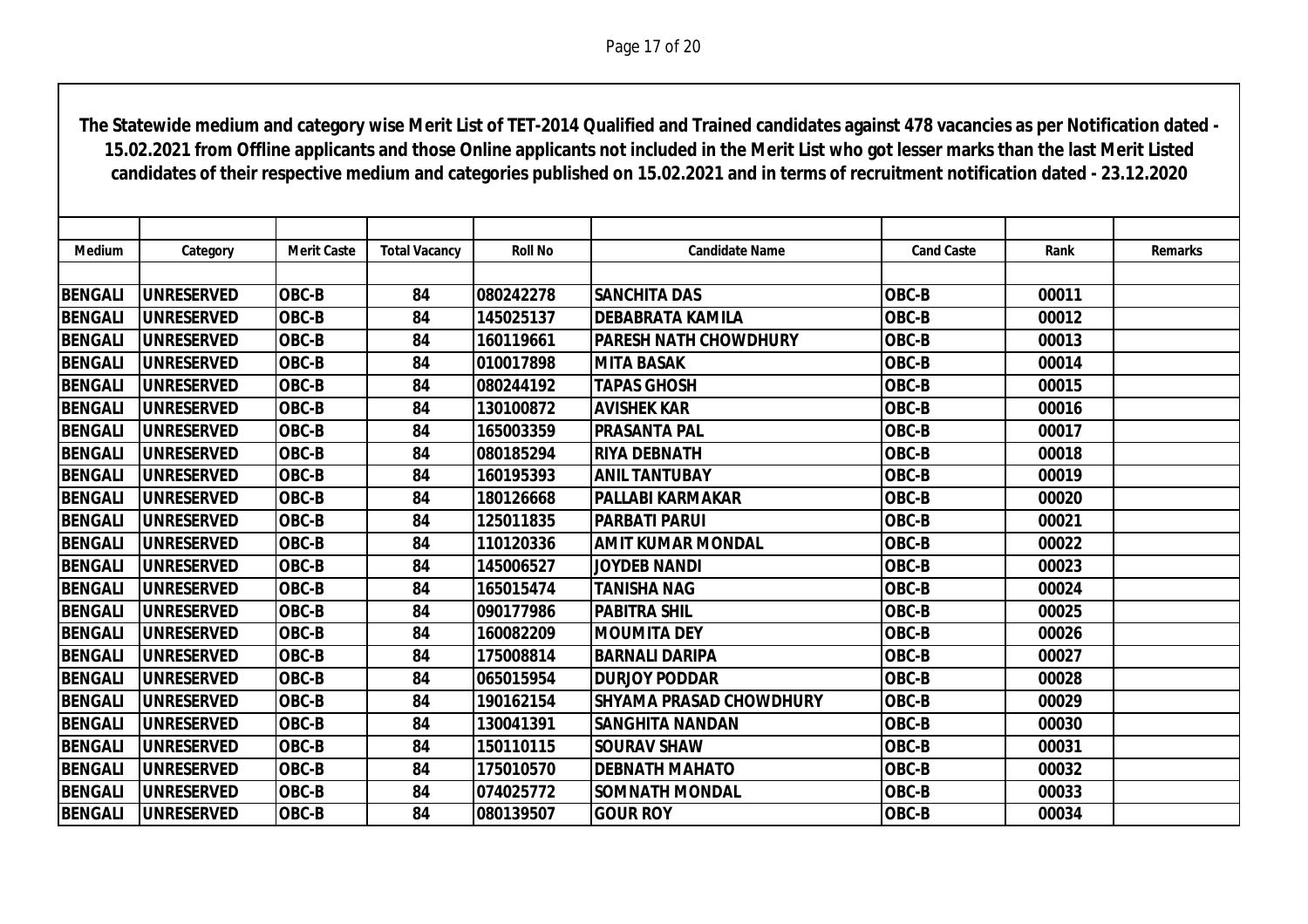| <b>Medium</b>  | Category          | <b>Merit Caste</b> | <b>Total Vacancy</b> | <b>Roll No</b> | <b>Candidate Name</b>          | <b>Cand Caste</b> | Rank  | <b>Remarks</b> |
|----------------|-------------------|--------------------|----------------------|----------------|--------------------------------|-------------------|-------|----------------|
|                |                   |                    |                      |                |                                |                   |       |                |
| <b>BENGALI</b> | <b>UNRESERVED</b> | <b>OBC-B</b>       | 84                   | 080242278      | <b>SANCHITA DAS</b>            | OBC-B             | 00011 |                |
| <b>BENGALI</b> | <b>UNRESERVED</b> | <b>OBC-B</b>       | 84                   | 145025137      | <b>DEBABRATA KAMILA</b>        | OBC-B             | 00012 |                |
| <b>BENGALI</b> | <b>UNRESERVED</b> | <b>OBC-B</b>       | 84                   | 160119661      | <b>PARESH NATH CHOWDHURY</b>   | OBC-B             | 00013 |                |
| <b>BENGALI</b> | <b>UNRESERVED</b> | <b>OBC-B</b>       | 84                   | 010017898      | <b>MITA BASAK</b>              | OBC-B             | 00014 |                |
| <b>BENGALI</b> | <b>UNRESERVED</b> | <b>OBC-B</b>       | 84                   | 080244192      | <b>TAPAS GHOSH</b>             | OBC-B             | 00015 |                |
| <b>BENGALI</b> | <b>UNRESERVED</b> | <b>OBC-B</b>       | 84                   | 130100872      | <b>AVISHEK KAR</b>             | OBC-B             | 00016 |                |
| <b>BENGALI</b> | <b>UNRESERVED</b> | OBC-B              | 84                   | 165003359      | <b>PRASANTA PAL</b>            | OBC-B             | 00017 |                |
| <b>BENGALI</b> | UNRESERVED        | <b>OBC-B</b>       | 84                   | 080185294      | <b>RIYA DEBNATH</b>            | OBC-B             | 00018 |                |
| <b>BENGALI</b> | <b>UNRESERVED</b> | <b>OBC-B</b>       | 84                   | 160195393      | <b>ANIL TANTUBAY</b>           | OBC-B             | 00019 |                |
| <b>BENGALI</b> | <b>UNRESERVED</b> | <b>OBC-B</b>       | 84                   | 180126668      | <b>PALLABI KARMAKAR</b>        | OBC-B             | 00020 |                |
| <b>BENGALI</b> | <b>UNRESERVED</b> | <b>OBC-B</b>       | 84                   | 125011835      | <b>PARBATI PARUI</b>           | OBC-B             | 00021 |                |
| <b>BENGALI</b> | <b>UNRESERVED</b> | <b>OBC-B</b>       | 84                   | 110120336      | <b>AMIT KUMAR MONDAL</b>       | OBC-B             | 00022 |                |
| <b>BENGALI</b> | <b>UNRESERVED</b> | <b>OBC-B</b>       | 84                   | 145006527      | <b>JOYDEB NANDI</b>            | OBC-B             | 00023 |                |
| <b>BENGALI</b> | <b>UNRESERVED</b> | <b>OBC-B</b>       | 84                   | 165015474      | <b>TANISHA NAG</b>             | OBC-B             | 00024 |                |
| <b>BENGALI</b> | <b>UNRESERVED</b> | OBC-B              | 84                   | 090177986      | <b>PABITRA SHIL</b>            | OBC-B             | 00025 |                |
| <b>BENGALI</b> | <b>UNRESERVED</b> | OBC-B              | 84                   | 160082209      | <b>MOUMITA DEY</b>             | OBC-B             | 00026 |                |
| <b>BENGALI</b> | <b>UNRESERVED</b> | OBC-B              | 84                   | 175008814      | <b>BARNALI DARIPA</b>          | OBC-B             | 00027 |                |
| <b>BENGALI</b> | <b>UNRESERVED</b> | OBC-B              | 84                   | 065015954      | <b>DURJOY PODDAR</b>           | OBC-B             | 00028 |                |
| <b>BENGALI</b> | <b>UNRESERVED</b> | <b>OBC-B</b>       | 84                   | 190162154      | <b>SHYAMA PRASAD CHOWDHURY</b> | OBC-B             | 00029 |                |
| <b>BENGALI</b> | <b>UNRESERVED</b> | <b>OBC-B</b>       | 84                   | 130041391      | <b>SANGHITA NANDAN</b>         | OBC-B             | 00030 |                |
| <b>BENGALI</b> | <b>UNRESERVED</b> | <b>OBC-B</b>       | 84                   | 150110115      | <b>SOURAV SHAW</b>             | OBC-B             | 00031 |                |
| <b>BENGALI</b> | <b>UNRESERVED</b> | <b>OBC-B</b>       | 84                   | 175010570      | <b>DEBNATH MAHATO</b>          | OBC-B             | 00032 |                |
| <b>BENGALI</b> | <b>UNRESERVED</b> | <b>OBC-B</b>       | 84                   | 074025772      | <b>SOMNATH MONDAL</b>          | OBC-B             | 00033 |                |
| <b>BENGALI</b> | <b>UNRESERVED</b> | OBC-B              | 84                   | 080139507      | <b>GOUR ROY</b>                | OBC-B             | 00034 |                |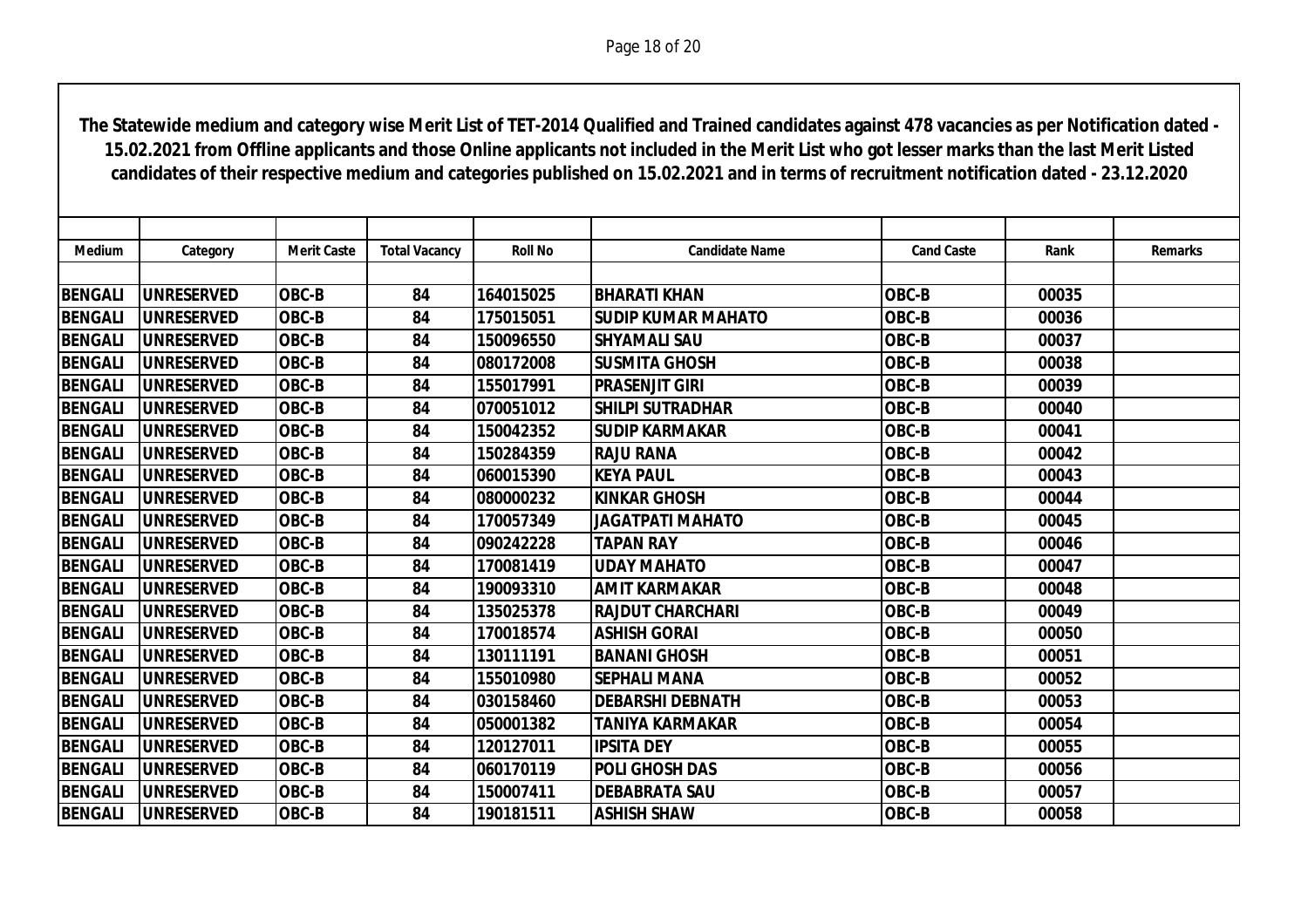| <b>Medium</b>  | Category          | <b>Merit Caste</b> | <b>Total Vacancy</b> | <b>Roll No</b> | <b>Candidate Name</b>     | <b>Cand Caste</b> | Rank  | <b>Remarks</b> |
|----------------|-------------------|--------------------|----------------------|----------------|---------------------------|-------------------|-------|----------------|
|                |                   |                    |                      |                |                           |                   |       |                |
| <b>BENGALI</b> | <b>UNRESERVED</b> | OBC-B              | 84                   | 164015025      | <b>BHARATI KHAN</b>       | <b>OBC-B</b>      | 00035 |                |
| <b>BENGALI</b> | <b>UNRESERVED</b> | OBC-B              | 84                   | 175015051      | <b>SUDIP KUMAR MAHATO</b> | OBC-B             | 00036 |                |
| <b>BENGALI</b> | <b>UNRESERVED</b> | OBC-B              | 84                   | 150096550      | <b>SHYAMALI SAU</b>       | OBC-B             | 00037 |                |
| <b>BENGALI</b> | <b>UNRESERVED</b> | <b>OBC-B</b>       | 84                   | 080172008      | <b>ISUSMITA GHOSH</b>     | OBC-B             | 00038 |                |
| <b>BENGALI</b> | <b>UNRESERVED</b> | OBC-B              | 84                   | 155017991      | <b>PRASENJIT GIRI</b>     | OBC-B             | 00039 |                |
| <b>BENGALI</b> | <b>UNRESERVED</b> | <b>OBC-B</b>       | 84                   | 070051012      | <b>SHILPI SUTRADHAR</b>   | OBC-B             | 00040 |                |
| <b>BENGALI</b> | <b>UNRESERVED</b> | OBC-B              | 84                   | 150042352      | <b>SUDIP KARMAKAR</b>     | OBC-B             | 00041 |                |
| <b>BENGALI</b> | <b>UNRESERVED</b> | <b>OBC-B</b>       | 84                   | 150284359      | <b>RAJU RANA</b>          | OBC-B             | 00042 |                |
| <b>BENGALI</b> | <b>UNRESERVED</b> | <b>OBC-B</b>       | 84                   | 060015390      | <b>KEYA PAUL</b>          | OBC-B             | 00043 |                |
| <b>BENGALI</b> | <b>UNRESERVED</b> | OBC-B              | 84                   | 080000232      | <b>KINKAR GHOSH</b>       | OBC-B             | 00044 |                |
| <b>BENGALI</b> | <b>UNRESERVED</b> | OBC-B              | 84                   | 170057349      | <b>JAGATPATI MAHATO</b>   | OBC-B             | 00045 |                |
| <b>BENGALI</b> | <b>UNRESERVED</b> | OBC-B              | 84                   | 090242228      | <b>TAPAN RAY</b>          | OBC-B             | 00046 |                |
| <b>BENGALI</b> | <b>UNRESERVED</b> | OBC-B              | 84                   | 170081419      | <b>UDAY MAHATO</b>        | OBC-B             | 00047 |                |
| <b>BENGALI</b> | <b>UNRESERVED</b> | <b>OBC-B</b>       | 84                   | 190093310      | <b>AMIT KARMAKAR</b>      | OBC-B             | 00048 |                |
| <b>BENGALI</b> | <b>UNRESERVED</b> | <b>OBC-B</b>       | 84                   | 135025378      | <b>RAJDUT CHARCHARI</b>   | OBC-B             | 00049 |                |
| <b>BENGALI</b> | <b>UNRESERVED</b> | OBC-B              | 84                   | 170018574      | <b>ASHISH GORAL</b>       | OBC-B             | 00050 |                |
| <b>BENGALI</b> | <b>UNRESERVED</b> | OBC-B              | 84                   | 130111191      | <b>BANANI GHOSH</b>       | OBC-B             | 00051 |                |
| <b>BENGALI</b> | <b>UNRESERVED</b> | OBC-B              | 84                   | 155010980      | <b>SEPHALI MANA</b>       | OBC-B             | 00052 |                |
| <b>BENGALI</b> | <b>UNRESERVED</b> | OBC-B              | 84                   | 030158460      | <b>DEBARSHI DEBNATH</b>   | OBC-B             | 00053 |                |
| <b>BENGALI</b> | <b>UNRESERVED</b> | <b>OBC-B</b>       | 84                   | 050001382      | <b>TANIYA KARMAKAR</b>    | OBC-B             | 00054 |                |
| <b>BENGALI</b> | <b>UNRESERVED</b> | <b>OBC-B</b>       | 84                   | 120127011      | <b>IPSITA DEY</b>         | OBC-B             | 00055 |                |
| <b>BENGALI</b> | <b>UNRESERVED</b> | <b>OBC-B</b>       | 84                   | 060170119      | <b>POLI GHOSH DAS</b>     | OBC-B             | 00056 |                |
| <b>BENGALI</b> | <b>UNRESERVED</b> | OBC-B              | 84                   | 150007411      | <b>DEBABRATA SAU</b>      | OBC-B             | 00057 |                |
| <b>BENGALI</b> | <b>UNRESERVED</b> | OBC-B              | 84                   | 190181511      | <b>ASHISH SHAW</b>        | <b>OBC-B</b>      | 00058 |                |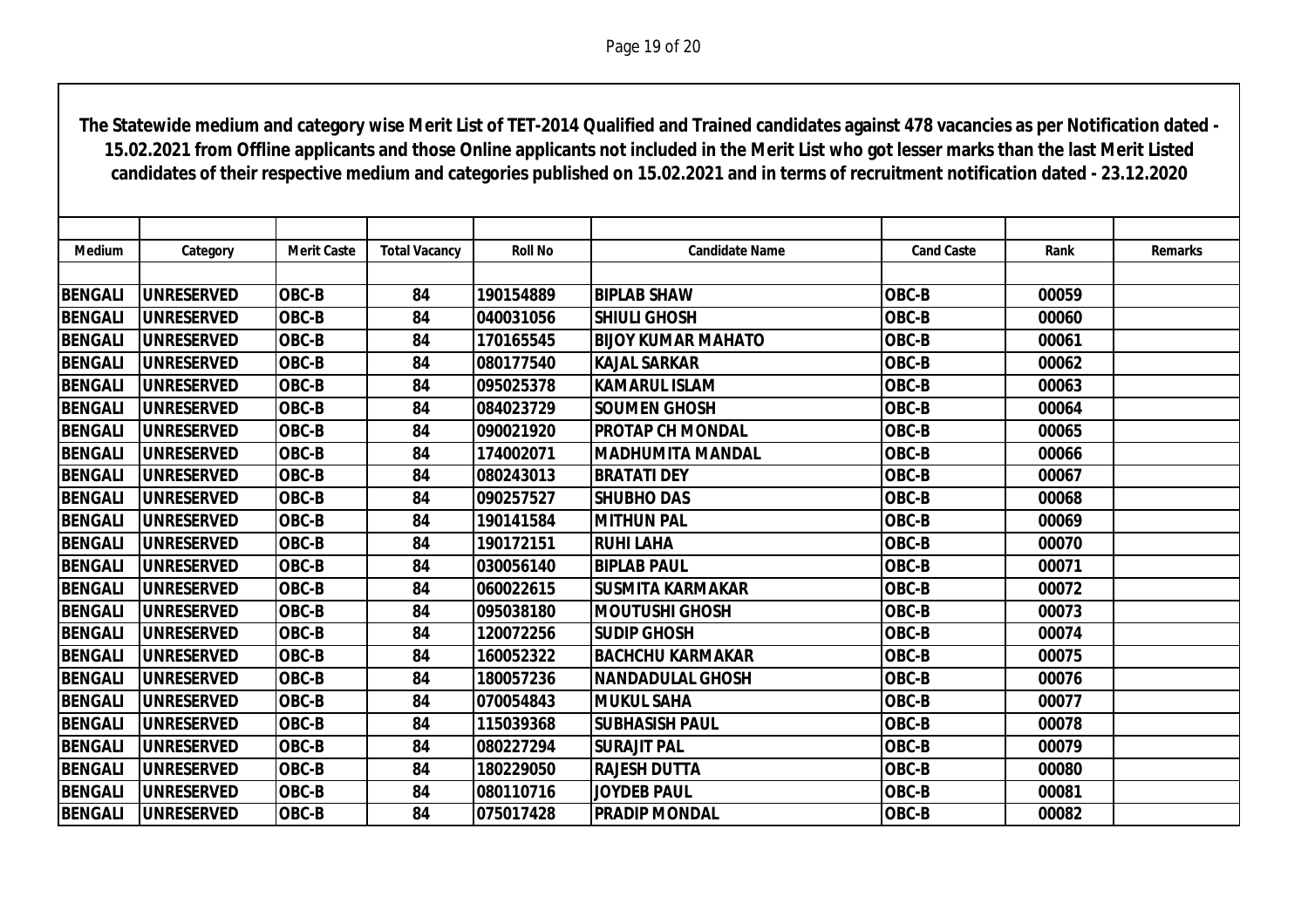| Medium         | Category           | <b>Merit Caste</b> | <b>Total Vacancy</b> | <b>Roll No</b> | <b>Candidate Name</b>     | <b>Cand Caste</b> | Rank  | <b>Remarks</b> |
|----------------|--------------------|--------------------|----------------------|----------------|---------------------------|-------------------|-------|----------------|
|                |                    |                    |                      |                |                           |                   |       |                |
| <b>BENGALI</b> | <b>UNRESERVED</b>  | <b>OBC-B</b>       | 84                   | 190154889      | <b>BIPLAB SHAW</b>        | OBC-B             | 00059 |                |
| <b>BENGALI</b> | <b>UNRESERVED</b>  | OBC-B              | 84                   | 040031056      | <b>SHIULI GHOSH</b>       | OBC-B             | 00060 |                |
| <b>BENGALI</b> | <b>UNRESERVED</b>  | OBC-B              | 84                   | 170165545      | <b>BIJOY KUMAR MAHATO</b> | OBC-B             | 00061 |                |
| <b>BENGALI</b> | <b>UNRESERVED</b>  | <b>OBC-B</b>       | 84                   | 080177540      | <b>KAJAL SARKAR</b>       | OBC-B             | 00062 |                |
| <b>BENGALI</b> | <b>UNRESERVED</b>  | OBC-B              | 84                   | 095025378      | <b>KAMARUL ISLAM</b>      | OBC-B             | 00063 |                |
| <b>BENGALI</b> | <b>IUNRESERVED</b> | OBC-B              | 84                   | 084023729      | <b>SOUMEN GHOSH</b>       | OBC-B             | 00064 |                |
| <b>BENGALI</b> | <b>UNRESERVED</b>  | <b>OBC-B</b>       | 84                   | 090021920      | <b>PROTAP CH MONDAL</b>   | OBC-B             | 00065 |                |
| <b>BENGALI</b> | <b>IUNRESERVED</b> | <b>OBC-B</b>       | 84                   | 174002071      | <b>MADHUMITA MANDAL</b>   | OBC-B             | 00066 |                |
| <b>BENGALI</b> | <b>UNRESERVED</b>  | OBC-B              | 84                   | 080243013      | <b>BRATATI DEY</b>        | OBC-B             | 00067 |                |
| <b>BENGALI</b> | <b>UNRESERVED</b>  | OBC-B              | 84                   | 090257527      | <b>SHUBHO DAS</b>         | OBC-B             | 00068 |                |
| <b>BENGALI</b> | <b>UNRESERVED</b>  | OBC-B              | 84                   | 190141584      | <b>MITHUN PAL</b>         | OBC-B             | 00069 |                |
| <b>BENGALI</b> | <b>UNRESERVED</b>  | OBC-B              | 84                   | 190172151      | <b>RUHI LAHA</b>          | OBC-B             | 00070 |                |
| <b>BENGALI</b> | <b>UNRESERVED</b>  | OBC-B              | 84                   | 030056140      | <b>BIPLAB PAUL</b>        | OBC-B             | 00071 |                |
| <b>BENGALI</b> | <b>UNRESERVED</b>  | OBC-B              | 84                   | 060022615      | <b>SUSMITA KARMAKAR</b>   | OBC-B             | 00072 |                |
| <b>BENGALI</b> | <b>UNRESERVED</b>  | OBC-B              | 84                   | 095038180      | <b>MOUTUSHI GHOSH</b>     | OBC-B             | 00073 |                |
| <b>BENGALI</b> | <b>UNRESERVED</b>  | <b>OBC-B</b>       | 84                   | 120072256      | <b>SUDIP GHOSH</b>        | OBC-B             | 00074 |                |
| <b>BENGALI</b> | <b>IUNRESERVED</b> | OBC-B              | 84                   | 160052322      | <b>BACHCHU KARMAKAR</b>   | OBC-B             | 00075 |                |
| <b>BENGALI</b> | <b>UNRESERVED</b>  | <b>OBC-B</b>       | 84                   | 180057236      | <b>NANDADULAL GHOSH</b>   | OBC-B             | 00076 |                |
| <b>BENGALI</b> | <b>UNRESERVED</b>  | OBC-B              | 84                   | 070054843      | <b>MUKUL SAHA</b>         | OBC-B             | 00077 |                |
| <b>BENGALI</b> | <b>UNRESERVED</b>  | OBC-B              | 84                   | 115039368      | <b>SUBHASISH PAUL</b>     | OBC-B             | 00078 |                |
| <b>BENGALI</b> | <b>UNRESERVED</b>  | OBC-B              | 84                   | 080227294      | <b>SURAJIT PAL</b>        | OBC-B             | 00079 |                |
| <b>BENGALI</b> | <b>UNRESERVED</b>  | OBC-B              | 84                   | 180229050      | <b>RAJESH DUTTA</b>       | OBC-B             | 00080 |                |
| <b>BENGALI</b> | <b>UNRESERVED</b>  | OBC-B              | 84                   | 080110716      | <b>JOYDEB PAUL</b>        | OBC-B             | 00081 |                |
| <b>BENGALI</b> | <b>UNRESERVED</b>  | OBC-B              | 84                   | 075017428      | <b>PRADIP MONDAL</b>      | OBC-B             | 00082 |                |